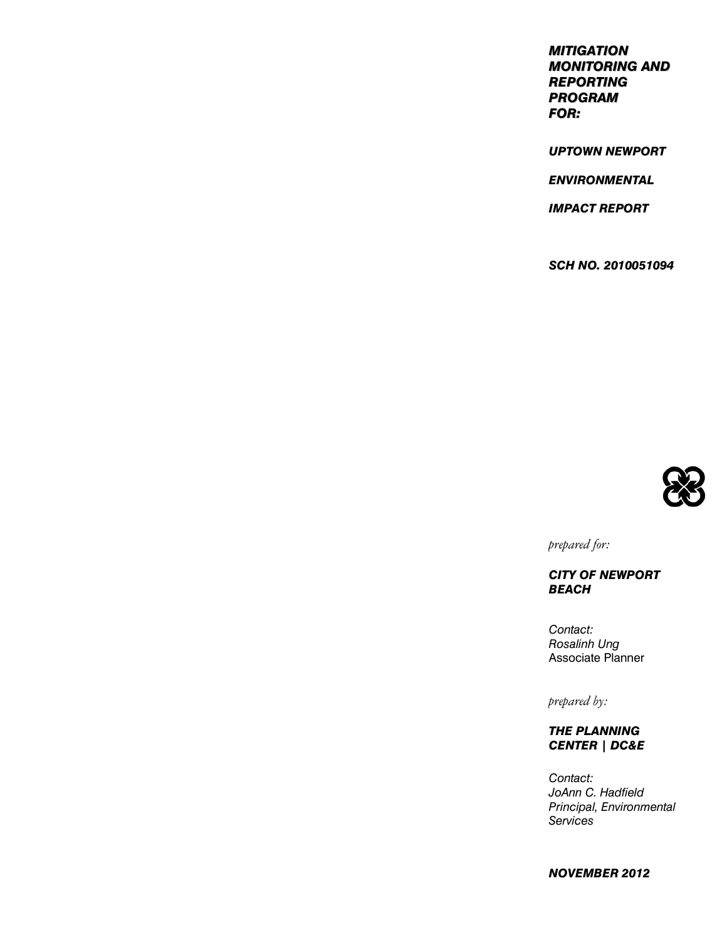*MITIGATION MONITORING AND REPORTING PROGRAM FOR:*

*UPTOWN NEWPORT* 

*ENVIRONMENTAL* 

*IMPACT REPORT* 

*SCH NO. 2010051094* 



*prepared for:*

*CITY OF NEWPORT BEACH* 

*Contact: Rosalinh Ung*  Associate Planner

*prepared by:*

*THE PLANNING CENTER | DC&E* 

*Contact: JoAnn C. Hadfield Principal, Environmental Services* 

*NOVEMBER 2012*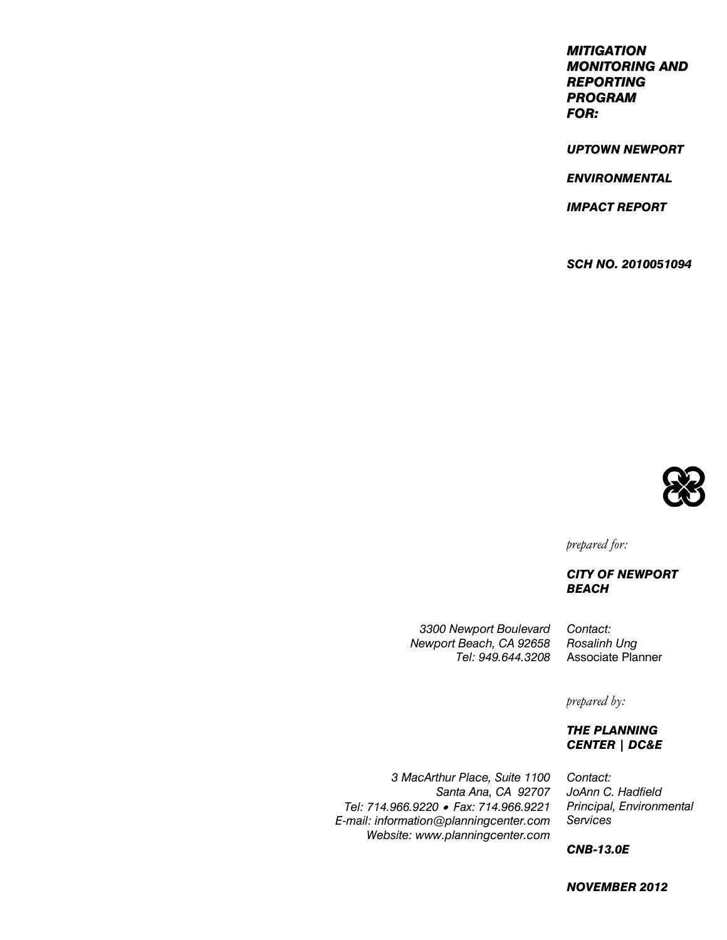*MITIGATION MONITORING AND REPORTING PROGRAM FOR:*

*UPTOWN NEWPORT* 

*ENVIRONMENTAL* 

*IMPACT REPORT* 

*SCH NO. 2010051094* 



*prepared for:*

#### *CITY OF NEWPORT BEACH*

*3300 Newport Boulevard Newport Beach, CA 92658 Tel: 949.644.3208*

*Contact: Rosalinh Ung*  Associate Planner

*prepared by:*

#### *THE PLANNING CENTER | DC&E*

*3 MacArthur Place, Suite 1100 Santa Ana, CA 92707 Tel: 714.966.9220 Fax: 714.966.9221 E-mail: information@planningcenter.com Website: www.planningcenter.com*

*Contact: JoAnn C. Hadfield Principal, Environmental Services* 

 *CNB-13.0E* 

*NOVEMBER 2012*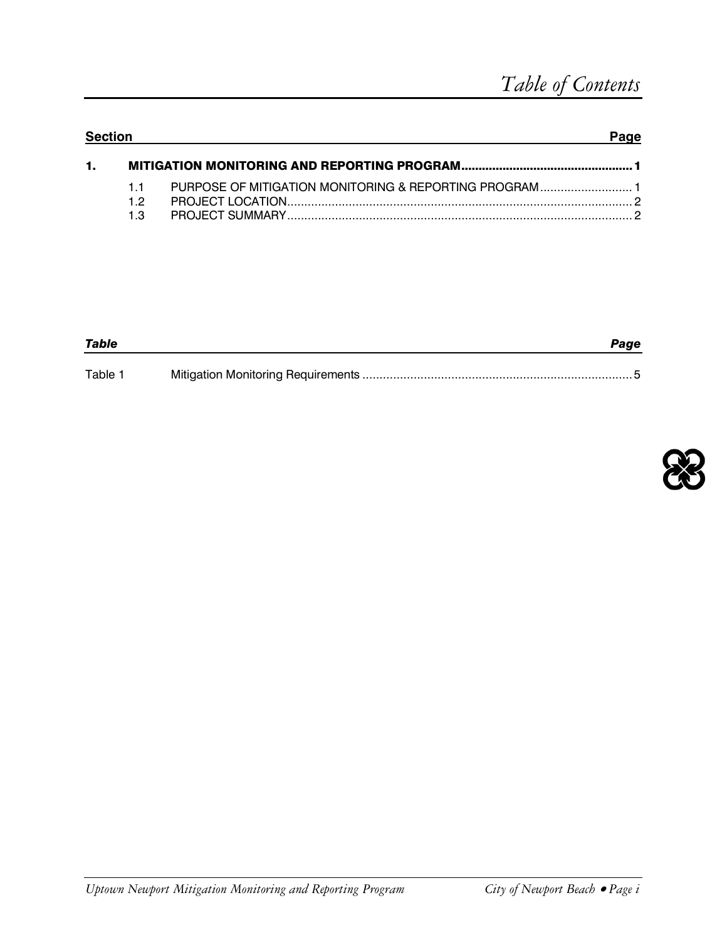| <b>Section</b> |     |  |
|----------------|-----|--|
| 1.             |     |  |
|                |     |  |
|                | 12  |  |
|                | 1 R |  |

| <b>Table</b> | Page |
|--------------|------|
| Table 1      |      |

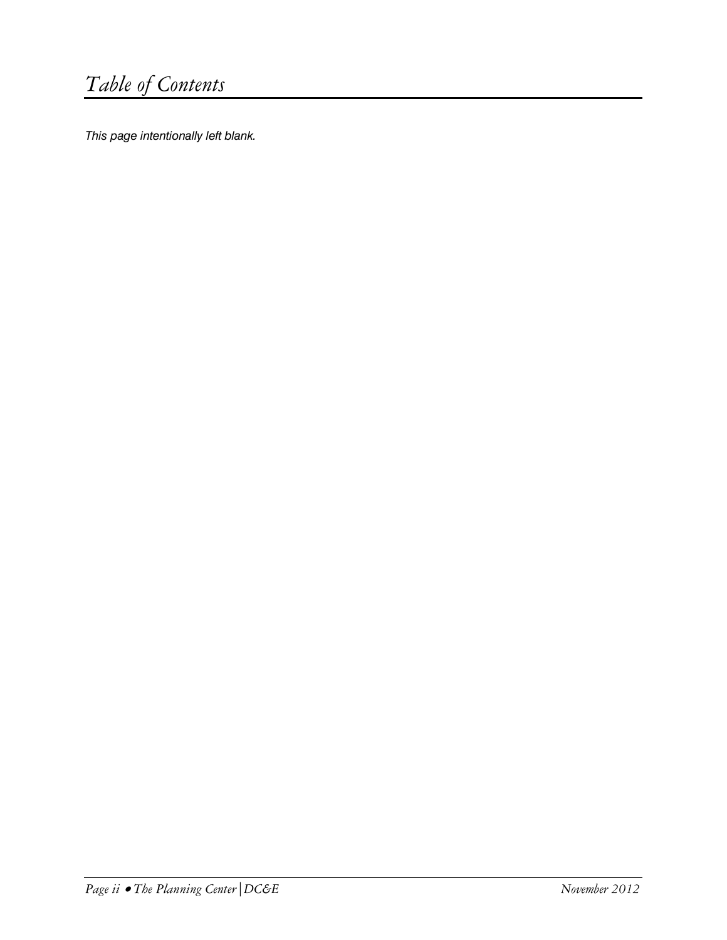*This page intentionally left blank.*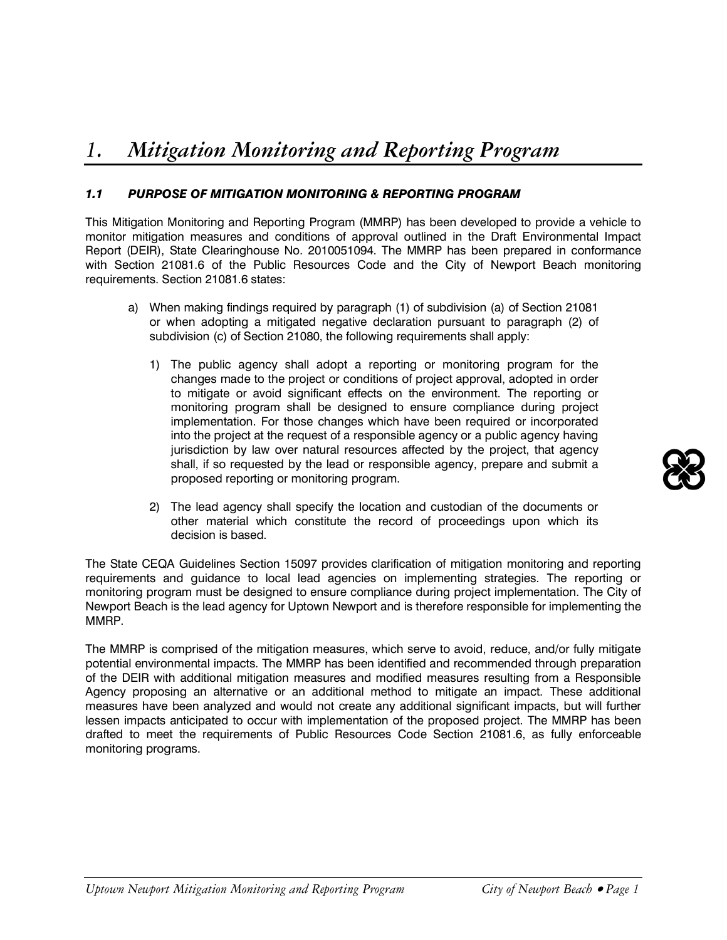#### *1.1 PURPOSE OF MITIGATION MONITORING & REPORTING PROGRAM*

This Mitigation Monitoring and Reporting Program (MMRP) has been developed to provide a vehicle to monitor mitigation measures and conditions of approval outlined in the Draft Environmental Impact Report (DEIR), State Clearinghouse No. 2010051094. The MMRP has been prepared in conformance with Section 21081.6 of the Public Resources Code and the City of Newport Beach monitoring requirements. Section 21081.6 states:

- a) When making findings required by paragraph (1) of subdivision (a) of Section 21081 or when adopting a mitigated negative declaration pursuant to paragraph (2) of subdivision (c) of Section 21080, the following requirements shall apply:
	- 1) The public agency shall adopt a reporting or monitoring program for the changes made to the project or conditions of project approval, adopted in order to mitigate or avoid significant effects on the environment. The reporting or monitoring program shall be designed to ensure compliance during project implementation. For those changes which have been required or incorporated into the project at the request of a responsible agency or a public agency having jurisdiction by law over natural resources affected by the project, that agency shall, if so requested by the lead or responsible agency, prepare and submit a proposed reporting or monitoring program.
	- 2) The lead agency shall specify the location and custodian of the documents or other material which constitute the record of proceedings upon which its decision is based.

The State CEQA Guidelines Section 15097 provides clarification of mitigation monitoring and reporting requirements and guidance to local lead agencies on implementing strategies. The reporting or monitoring program must be designed to ensure compliance during project implementation. The City of Newport Beach is the lead agency for Uptown Newport and is therefore responsible for implementing the MMRP.

The MMRP is comprised of the mitigation measures, which serve to avoid, reduce, and/or fully mitigate potential environmental impacts. The MMRP has been identified and recommended through preparation of the DEIR with additional mitigation measures and modified measures resulting from a Responsible Agency proposing an alternative or an additional method to mitigate an impact. These additional measures have been analyzed and would not create any additional significant impacts, but will further lessen impacts anticipated to occur with implementation of the proposed project. The MMRP has been drafted to meet the requirements of Public Resources Code Section 21081.6, as fully enforceable monitoring programs.

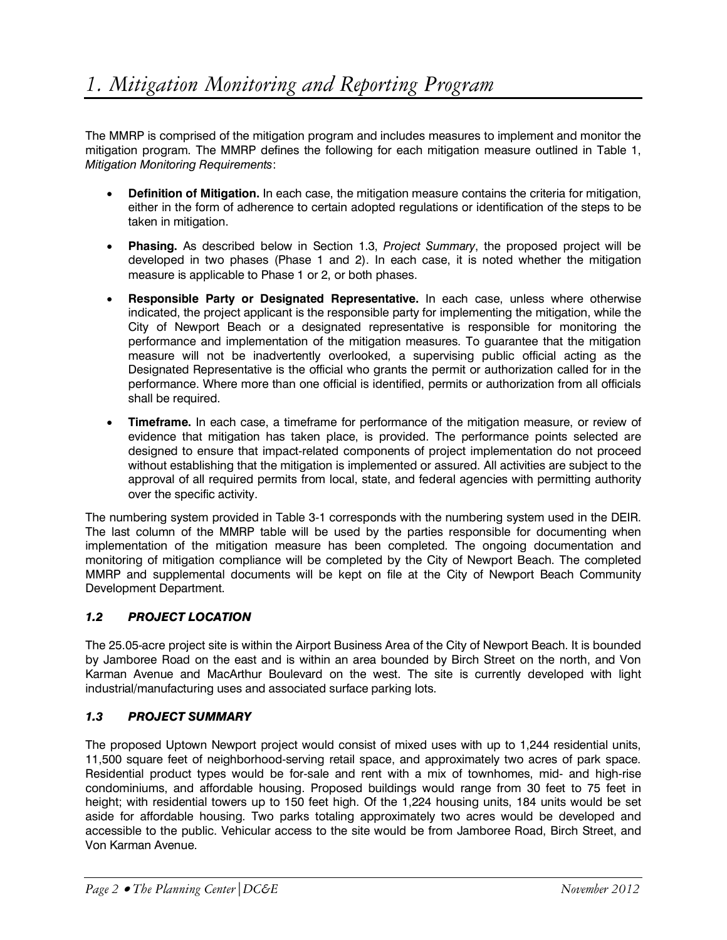The MMRP is comprised of the mitigation program and includes measures to implement and monitor the mitigation program. The MMRP defines the following for each mitigation measure outlined in Table 1, *Mitigation Monitoring Requirements*:

- **Definition of Mitigation.** In each case, the mitigation measure contains the criteria for mitigation, either in the form of adherence to certain adopted regulations or identification of the steps to be taken in mitigation.
- **Phasing.** As described below in Section 1.3, *Project Summary*, the proposed project will be developed in two phases (Phase 1 and 2). In each case, it is noted whether the mitigation measure is applicable to Phase 1 or 2, or both phases.
- **Responsible Party or Designated Representative.** In each case, unless where otherwise indicated, the project applicant is the responsible party for implementing the mitigation, while the City of Newport Beach or a designated representative is responsible for monitoring the performance and implementation of the mitigation measures. To guarantee that the mitigation measure will not be inadvertently overlooked, a supervising public official acting as the Designated Representative is the official who grants the permit or authorization called for in the performance. Where more than one official is identified, permits or authorization from all officials shall be required.
- **Timeframe.** In each case, a timeframe for performance of the mitigation measure, or review of evidence that mitigation has taken place, is provided. The performance points selected are designed to ensure that impact-related components of project implementation do not proceed without establishing that the mitigation is implemented or assured. All activities are subject to the approval of all required permits from local, state, and federal agencies with permitting authority over the specific activity.

The numbering system provided in Table 3-1 corresponds with the numbering system used in the DEIR. The last column of the MMRP table will be used by the parties responsible for documenting when implementation of the mitigation measure has been completed. The ongoing documentation and monitoring of mitigation compliance will be completed by the City of Newport Beach. The completed MMRP and supplemental documents will be kept on file at the City of Newport Beach Community Development Department.

#### *1.2 PROJECT LOCATION*

The 25.05-acre project site is within the Airport Business Area of the City of Newport Beach. It is bounded by Jamboree Road on the east and is within an area bounded by Birch Street on the north, and Von Karman Avenue and MacArthur Boulevard on the west. The site is currently developed with light industrial/manufacturing uses and associated surface parking lots.

#### *1.3 PROJECT SUMMARY*

The proposed Uptown Newport project would consist of mixed uses with up to 1,244 residential units, 11,500 square feet of neighborhood-serving retail space, and approximately two acres of park space. Residential product types would be for-sale and rent with a mix of townhomes, mid- and high-rise condominiums, and affordable housing. Proposed buildings would range from 30 feet to 75 feet in height; with residential towers up to 150 feet high. Of the 1,224 housing units, 184 units would be set aside for affordable housing. Two parks totaling approximately two acres would be developed and accessible to the public. Vehicular access to the site would be from Jamboree Road, Birch Street, and Von Karman Avenue.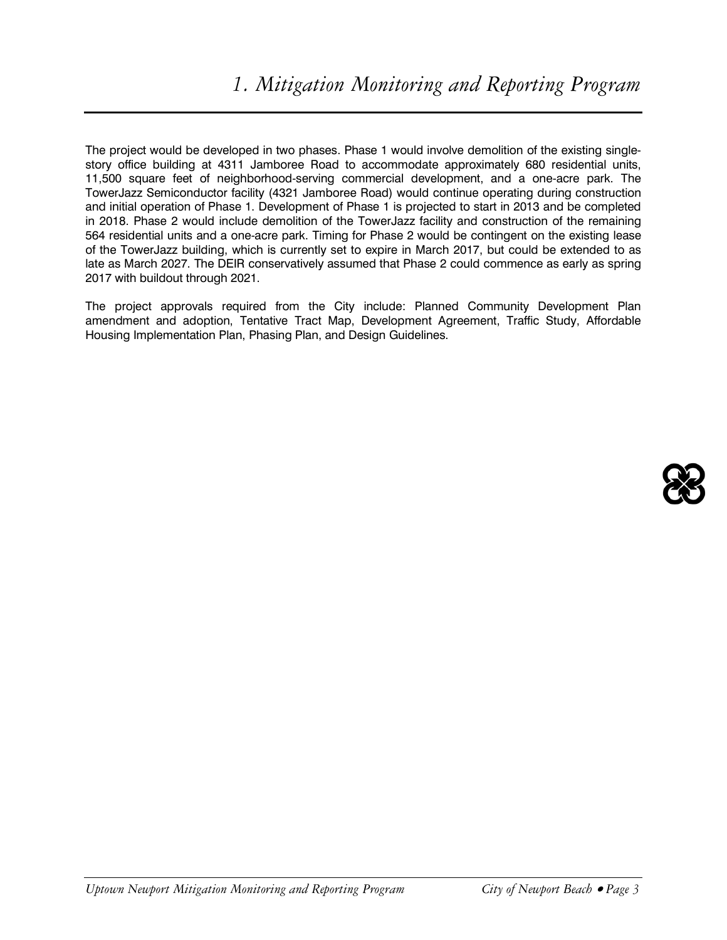The project would be developed in two phases. Phase 1 would involve demolition of the existing singlestory office building at 4311 Jamboree Road to accommodate approximately 680 residential units, 11,500 square feet of neighborhood-serving commercial development, and a one-acre park. The TowerJazz Semiconductor facility (4321 Jamboree Road) would continue operating during construction and initial operation of Phase 1. Development of Phase 1 is projected to start in 2013 and be completed in 2018. Phase 2 would include demolition of the TowerJazz facility and construction of the remaining 564 residential units and a one-acre park. Timing for Phase 2 would be contingent on the existing lease of the TowerJazz building, which is currently set to expire in March 2017, but could be extended to as late as March 2027. The DEIR conservatively assumed that Phase 2 could commence as early as spring 2017 with buildout through 2021.

The project approvals required from the City include: Planned Community Development Plan amendment and adoption, Tentative Tract Map, Development Agreement, Traffic Study, Affordable Housing Implementation Plan, Phasing Plan, and Design Guidelines.

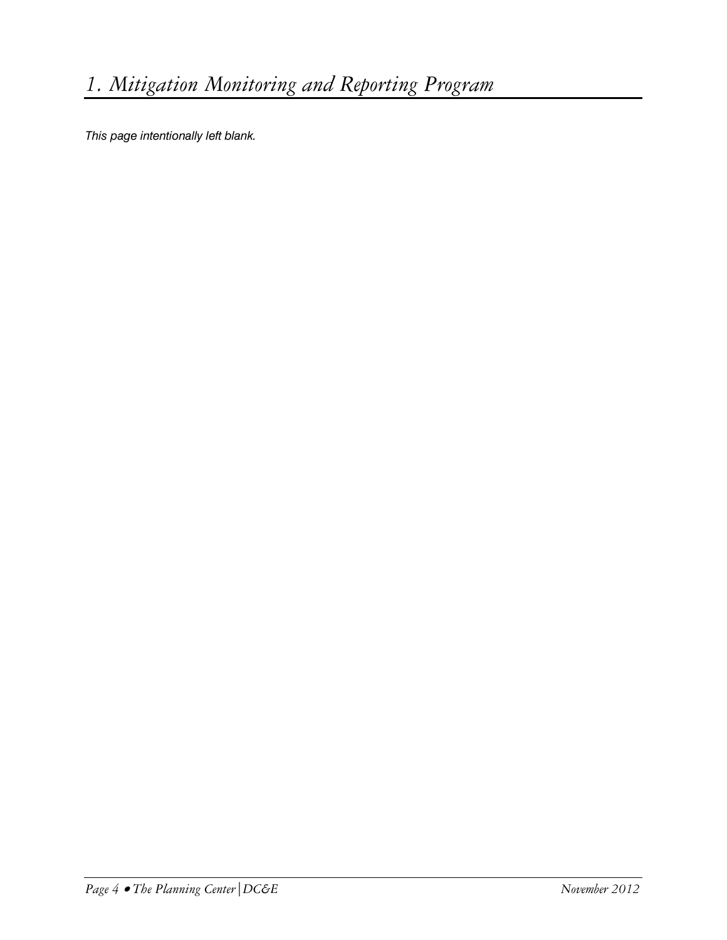*This page intentionally left blank.*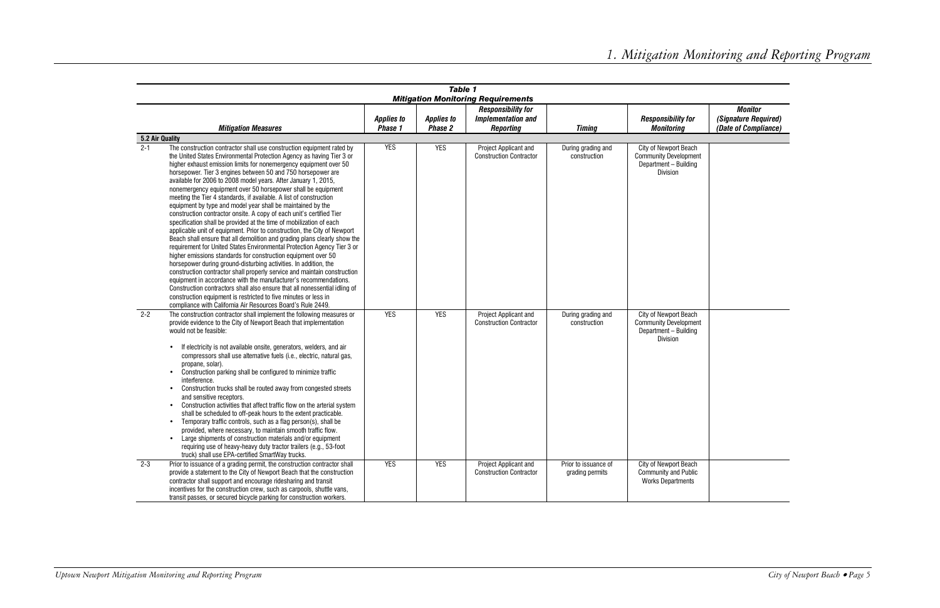|         |                                                                                                                                                                                                                                                                                                                                                                                                                                                                                                                                                                                                                                                                                                                                                                                                                                                                                                                                                                                                                                                                                                                                                                                                                                                                                                                                                                                                                                                    |                              | <b>Table 1</b>               | <b>Mitigation Monitoring Requirements</b>                                  |                                         |                                                                                            |                                                                |
|---------|----------------------------------------------------------------------------------------------------------------------------------------------------------------------------------------------------------------------------------------------------------------------------------------------------------------------------------------------------------------------------------------------------------------------------------------------------------------------------------------------------------------------------------------------------------------------------------------------------------------------------------------------------------------------------------------------------------------------------------------------------------------------------------------------------------------------------------------------------------------------------------------------------------------------------------------------------------------------------------------------------------------------------------------------------------------------------------------------------------------------------------------------------------------------------------------------------------------------------------------------------------------------------------------------------------------------------------------------------------------------------------------------------------------------------------------------------|------------------------------|------------------------------|----------------------------------------------------------------------------|-----------------------------------------|--------------------------------------------------------------------------------------------|----------------------------------------------------------------|
|         | <b>Mitigation Measures</b>                                                                                                                                                                                                                                                                                                                                                                                                                                                                                                                                                                                                                                                                                                                                                                                                                                                                                                                                                                                                                                                                                                                                                                                                                                                                                                                                                                                                                         | <b>Applies to</b><br>Phase 1 | <b>Applies to</b><br>Phase 2 | <b>Responsibility for</b><br><b>Implementation and</b><br><b>Reporting</b> | <b>Timing</b>                           | <b>Responsibility for</b><br><b>Monitoring</b>                                             | <b>Monitor</b><br>(Signature Required)<br>(Date of Compliance) |
|         | 5.2 Air Quality                                                                                                                                                                                                                                                                                                                                                                                                                                                                                                                                                                                                                                                                                                                                                                                                                                                                                                                                                                                                                                                                                                                                                                                                                                                                                                                                                                                                                                    |                              |                              |                                                                            |                                         |                                                                                            |                                                                |
| $2 - 1$ | The construction contractor shall use construction equipment rated by<br>the United States Environmental Protection Agency as having Tier 3 or<br>higher exhaust emission limits for nonemergency equipment over 50<br>horsepower. Tier 3 engines between 50 and 750 horsepower are<br>available for 2006 to 2008 model years. After January 1, 2015,<br>nonemergency equipment over 50 horsepower shall be equipment<br>meeting the Tier 4 standards, if available. A list of construction<br>equipment by type and model year shall be maintained by the<br>construction contractor onsite. A copy of each unit's certified Tier<br>specification shall be provided at the time of mobilization of each<br>applicable unit of equipment. Prior to construction, the City of Newport<br>Beach shall ensure that all demolition and grading plans clearly show the<br>requirement for United States Environmental Protection Agency Tier 3 or<br>higher emissions standards for construction equipment over 50<br>horsepower during ground-disturbing activities. In addition, the<br>construction contractor shall properly service and maintain construction<br>equipment in accordance with the manufacturer's recommendations.<br>Construction contractors shall also ensure that all nonessential idling of<br>construction equipment is restricted to five minutes or less in<br>compliance with California Air Resources Board's Rule 2449. | <b>YES</b>                   | YES                          | Project Applicant and<br><b>Construction Contractor</b>                    | During grading and<br>construction      | City of Newport Beach<br><b>Community Development</b><br>Department - Building<br>Division |                                                                |
| $2 - 2$ | The construction contractor shall implement the following measures or<br>provide evidence to the City of Newport Beach that implementation<br>would not be feasible:<br>If electricity is not available onsite, generators, welders, and air<br>compressors shall use alternative fuels (i.e., electric, natural gas,<br>propane, solar).<br>Construction parking shall be configured to minimize traffic<br>$\bullet$<br>interference.<br>Construction trucks shall be routed away from congested streets<br>$\bullet$<br>and sensitive receptors.<br>Construction activities that affect traffic flow on the arterial system<br>$\bullet$<br>shall be scheduled to off-peak hours to the extent practicable.<br>Temporary traffic controls, such as a flag person(s), shall be<br>$\bullet$<br>provided, where necessary, to maintain smooth traffic flow.<br>Large shipments of construction materials and/or equipment<br>$\bullet$<br>requiring use of heavy-heavy duty tractor trailers (e.g., 53-foot<br>truck) shall use EPA-certified SmartWay trucks.                                                                                                                                                                                                                                                                                                                                                                                    | <b>YES</b>                   | YES                          | Project Applicant and<br><b>Construction Contractor</b>                    | During grading and<br>construction      | City of Newport Beach<br><b>Community Development</b><br>Department - Building<br>Division |                                                                |
| $2 - 3$ | Prior to issuance of a grading permit, the construction contractor shall<br>provide a statement to the City of Newport Beach that the construction<br>contractor shall support and encourage ridesharing and transit<br>incentives for the construction crew, such as carpools, shuttle vans,<br>transit passes, or secured bicycle parking for construction workers.                                                                                                                                                                                                                                                                                                                                                                                                                                                                                                                                                                                                                                                                                                                                                                                                                                                                                                                                                                                                                                                                              | YES                          | YES                          | Project Applicant and<br><b>Construction Contractor</b>                    | Prior to issuance of<br>grading permits | City of Newport Beach<br><b>Community and Public</b><br><b>Works Departments</b>           |                                                                |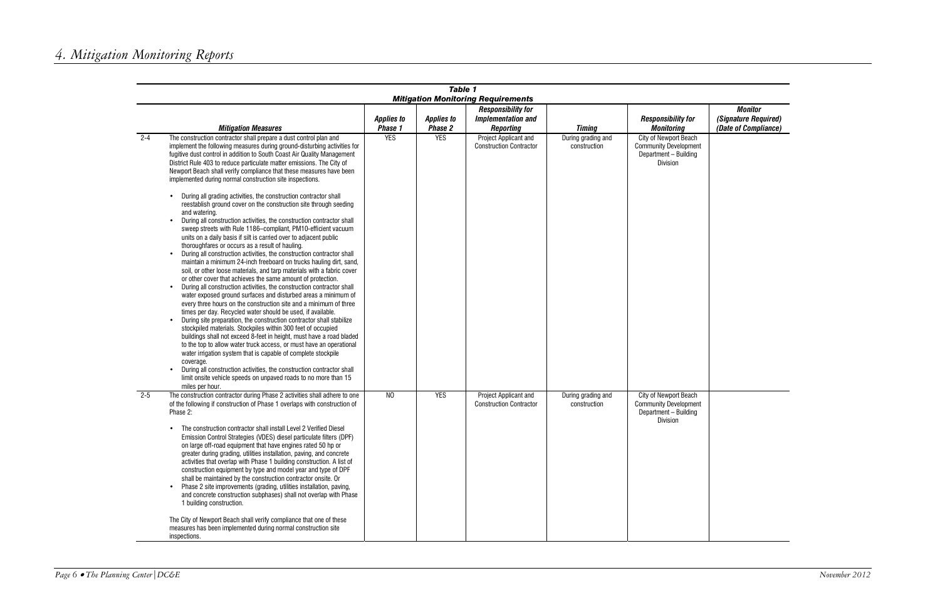|         |                                                                                                                                                                                                                                                                                                                                                                                                                                                                                                                                                                                                                                                                                                                                                                                                                                                                                                                                                                                                                                                                                                                                                                                                                                                                                                                                                                                                                                                                                                                                                                                                                                                                                   |                              | Table 1                      | <b>Mitigation Monitoring Requirements</b>                                  |                                    |                                                                                            |                                                                |
|---------|-----------------------------------------------------------------------------------------------------------------------------------------------------------------------------------------------------------------------------------------------------------------------------------------------------------------------------------------------------------------------------------------------------------------------------------------------------------------------------------------------------------------------------------------------------------------------------------------------------------------------------------------------------------------------------------------------------------------------------------------------------------------------------------------------------------------------------------------------------------------------------------------------------------------------------------------------------------------------------------------------------------------------------------------------------------------------------------------------------------------------------------------------------------------------------------------------------------------------------------------------------------------------------------------------------------------------------------------------------------------------------------------------------------------------------------------------------------------------------------------------------------------------------------------------------------------------------------------------------------------------------------------------------------------------------------|------------------------------|------------------------------|----------------------------------------------------------------------------|------------------------------------|--------------------------------------------------------------------------------------------|----------------------------------------------------------------|
|         | <b>Mitigation Measures</b>                                                                                                                                                                                                                                                                                                                                                                                                                                                                                                                                                                                                                                                                                                                                                                                                                                                                                                                                                                                                                                                                                                                                                                                                                                                                                                                                                                                                                                                                                                                                                                                                                                                        | <b>Applies to</b><br>Phase 1 | <b>Applies to</b><br>Phase 2 | <b>Responsibility for</b><br><b>Implementation and</b><br><b>Reporting</b> | <b>Timing</b>                      | <b>Responsibility for</b><br><b>Monitoring</b>                                             | <b>Monitor</b><br>(Signature Required)<br>(Date of Compliance) |
| $2 - 4$ | The construction contractor shall prepare a dust control plan and<br>implement the following measures during ground-disturbing activities for<br>fugitive dust control in addition to South Coast Air Quality Management<br>District Rule 403 to reduce particulate matter emissions. The City of<br>Newport Beach shall verify compliance that these measures have been<br>implemented during normal construction site inspections.<br>During all grading activities, the construction contractor shall<br>$\bullet$<br>reestablish ground cover on the construction site through seeding<br>and watering.<br>During all construction activities, the construction contractor shall<br>sweep streets with Rule 1186-compliant, PM10-efficient vacuum<br>units on a daily basis if silt is carried over to adjacent public<br>thoroughfares or occurs as a result of hauling.<br>During all construction activities, the construction contractor shall<br>$\bullet$<br>maintain a minimum 24-inch freeboard on trucks hauling dirt, sand,<br>soil, or other loose materials, and tarp materials with a fabric cover<br>or other cover that achieves the same amount of protection.<br>During all construction activities, the construction contractor shall<br>water exposed ground surfaces and disturbed areas a minimum of<br>every three hours on the construction site and a minimum of three<br>times per day. Recycled water should be used, if available.<br>During site preparation, the construction contractor shall stabilize<br>stockpiled materials. Stockpiles within 300 feet of occupied<br>buildings shall not exceed 8-feet in height, must have a road bladed | <b>YES</b>                   | <b>YES</b>                   | <b>Project Applicant and</b><br><b>Construction Contractor</b>             | During grading and<br>construction | City of Newport Beach<br><b>Community Development</b><br>Department - Building<br>Division |                                                                |
| $2 - 5$ | to the top to allow water truck access, or must have an operational<br>water irrigation system that is capable of complete stockpile<br>coverage.<br>During all construction activities, the construction contractor shall<br>limit onsite vehicle speeds on unpaved roads to no more than 15<br>miles per hour.<br>The construction contractor during Phase 2 activities shall adhere to one<br>of the following if construction of Phase 1 overlaps with construction of                                                                                                                                                                                                                                                                                                                                                                                                                                                                                                                                                                                                                                                                                                                                                                                                                                                                                                                                                                                                                                                                                                                                                                                                        | N <sub>0</sub>               | <b>YES</b>                   | Project Applicant and<br><b>Construction Contractor</b>                    | During grading and<br>construction | City of Newport Beach<br><b>Community Development</b>                                      |                                                                |
|         | Phase 2:<br>The construction contractor shall install Level 2 Verified Diesel<br>Emission Control Strategies (VDES) diesel particulate filters (DPF)<br>on large off-road equipment that have engines rated 50 hp or<br>greater during grading, utilities installation, paving, and concrete<br>activities that overlap with Phase 1 building construction. A list of<br>construction equipment by type and model year and type of DPF<br>shall be maintained by the construction contractor onsite. Or<br>Phase 2 site improvements (grading, utilities installation, paving,<br>$\bullet$<br>and concrete construction subphases) shall not overlap with Phase<br>1 building construction.                                                                                                                                                                                                                                                                                                                                                                                                                                                                                                                                                                                                                                                                                                                                                                                                                                                                                                                                                                                      |                              |                              |                                                                            |                                    | Department - Building<br>Division                                                          |                                                                |
|         | The City of Newport Beach shall verify compliance that one of these<br>measures has been implemented during normal construction site<br>inspections.                                                                                                                                                                                                                                                                                                                                                                                                                                                                                                                                                                                                                                                                                                                                                                                                                                                                                                                                                                                                                                                                                                                                                                                                                                                                                                                                                                                                                                                                                                                              |                              |                              |                                                                            |                                    |                                                                                            |                                                                |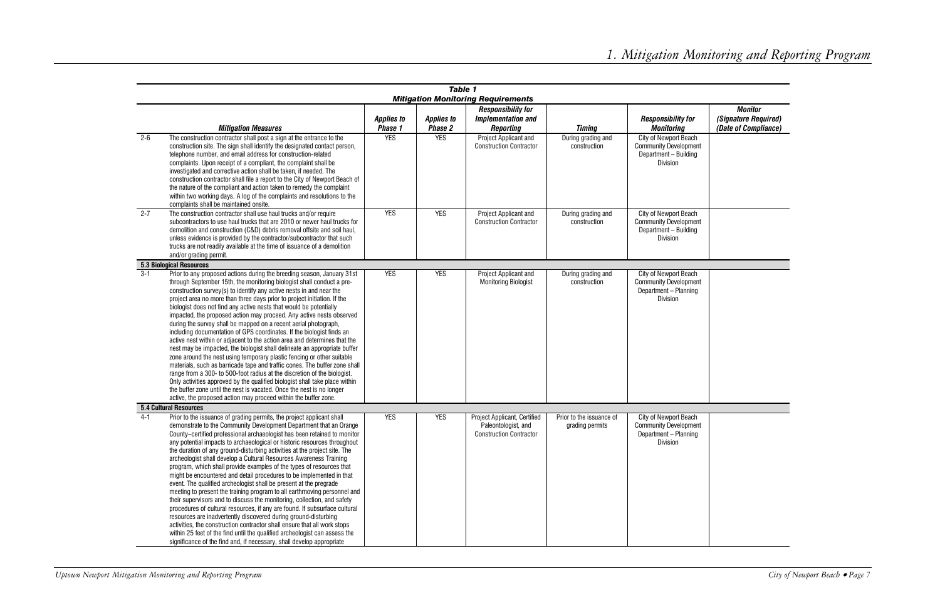|         |                                                                                                                                                                                                                                                                                                                                                                                                                                                                                                                                                                                                                                                                                                                                                                                                                                                                                                                                                                                                                                                                                                                                                                                                                         |                              | <b>Table 1</b>               | <b>Mitigation Monitoring Requirements</b>                                             |                                             |                                                                                            |                                                                       |
|---------|-------------------------------------------------------------------------------------------------------------------------------------------------------------------------------------------------------------------------------------------------------------------------------------------------------------------------------------------------------------------------------------------------------------------------------------------------------------------------------------------------------------------------------------------------------------------------------------------------------------------------------------------------------------------------------------------------------------------------------------------------------------------------------------------------------------------------------------------------------------------------------------------------------------------------------------------------------------------------------------------------------------------------------------------------------------------------------------------------------------------------------------------------------------------------------------------------------------------------|------------------------------|------------------------------|---------------------------------------------------------------------------------------|---------------------------------------------|--------------------------------------------------------------------------------------------|-----------------------------------------------------------------------|
|         | <b>Mitigation Measures</b>                                                                                                                                                                                                                                                                                                                                                                                                                                                                                                                                                                                                                                                                                                                                                                                                                                                                                                                                                                                                                                                                                                                                                                                              | <b>Applies to</b><br>Phase 1 | <b>Applies to</b><br>Phase 2 | <b>Responsibility for</b><br><b>Implementation and</b><br><b>Reporting</b>            | <b>Timing</b>                               | <b>Responsibility for</b><br><b>Monitoring</b>                                             | <b>Monitor</b><br><i>(Signature Required)</i><br>(Date of Compliance) |
| $2 - 6$ | The construction contractor shall post a sign at the entrance to the<br>construction site. The sign shall identify the designated contact person,<br>telephone number, and email address for construction-related<br>complaints. Upon receipt of a compliant, the complaint shall be<br>investigated and corrective action shall be taken, if needed. The<br>construction contractor shall file a report to the City of Newport Beach of<br>the nature of the compliant and action taken to remedy the complaint<br>within two working days. A log of the complaints and resolutions to the<br>complaints shall be maintained onsite.                                                                                                                                                                                                                                                                                                                                                                                                                                                                                                                                                                                   | YES                          | YES                          | Project Applicant and<br><b>Construction Contractor</b>                               | During grading and<br>construction          | City of Newport Beach<br><b>Community Development</b><br>Department - Building<br>Division |                                                                       |
| $2 - 7$ | The construction contractor shall use haul trucks and/or require<br>subcontractors to use haul trucks that are 2010 or newer haul trucks for<br>demolition and construction (C&D) debris removal offsite and soil haul,<br>unless evidence is provided by the contractor/subcontractor that such<br>trucks are not readily available at the time of issuance of a demolition<br>and/or grading permit.                                                                                                                                                                                                                                                                                                                                                                                                                                                                                                                                                                                                                                                                                                                                                                                                                  | <b>YES</b>                   | <b>YES</b>                   | Project Applicant and<br><b>Construction Contractor</b>                               | During grading and<br>construction          | City of Newport Beach<br><b>Community Development</b><br>Department - Building<br>Division |                                                                       |
|         | <b>5.3 Biological Resources</b>                                                                                                                                                                                                                                                                                                                                                                                                                                                                                                                                                                                                                                                                                                                                                                                                                                                                                                                                                                                                                                                                                                                                                                                         |                              |                              |                                                                                       |                                             |                                                                                            |                                                                       |
| $3-1$   | Prior to any proposed actions during the breeding season, January 31st<br>through September 15th, the monitoring biologist shall conduct a pre-<br>construction survey(s) to identify any active nests in and near the<br>project area no more than three days prior to project initiation. If the<br>biologist does not find any active nests that would be potentially<br>impacted, the proposed action may proceed. Any active nests observed<br>during the survey shall be mapped on a recent aerial photograph,<br>including documentation of GPS coordinates. If the biologist finds an<br>active nest within or adjacent to the action area and determines that the<br>nest may be impacted, the biologist shall delineate an appropriate buffer<br>zone around the nest using temporary plastic fencing or other suitable<br>materials, such as barricade tape and traffic cones. The buffer zone shall<br>range from a 300- to 500-foot radius at the discretion of the biologist.<br>Only activities approved by the qualified biologist shall take place within<br>the buffer zone until the nest is vacated. Once the nest is no longer<br>active, the proposed action may proceed within the buffer zone.  | YES                          | <b>YES</b>                   | Project Applicant and<br><b>Monitoring Biologist</b>                                  | During grading and<br>construction          | City of Newport Beach<br><b>Community Development</b><br>Department - Planning<br>Division |                                                                       |
|         | <b>5.4 Cultural Resources</b>                                                                                                                                                                                                                                                                                                                                                                                                                                                                                                                                                                                                                                                                                                                                                                                                                                                                                                                                                                                                                                                                                                                                                                                           |                              |                              |                                                                                       |                                             |                                                                                            |                                                                       |
| $4-1$   | Prior to the issuance of grading permits, the project applicant shall<br>demonstrate to the Community Development Department that an Orange<br>County-certified professional archaeologist has been retained to monitor<br>any potential impacts to archaeological or historic resources throughout<br>the duration of any ground-disturbing activities at the project site. The<br>archeologist shall develop a Cultural Resources Awareness Training<br>program, which shall provide examples of the types of resources that<br>might be encountered and detail procedures to be implemented in that<br>event. The qualified archeologist shall be present at the pregrade<br>meeting to present the training program to all earthmoving personnel and<br>their supervisors and to discuss the monitoring, collection, and safety<br>procedures of cultural resources, if any are found. If subsurface cultural<br>resources are inadvertently discovered during ground-disturbing<br>activities, the construction contractor shall ensure that all work stops<br>within 25 feet of the find until the qualified archeologist can assess the<br>significance of the find and, if necessary, shall develop appropriate | YES                          | <b>YES</b>                   | Project Applicant, Certified<br>Paleontologist, and<br><b>Construction Contractor</b> | Prior to the issuance of<br>grading permits | City of Newport Beach<br><b>Community Development</b><br>Department - Planning<br>Division |                                                                       |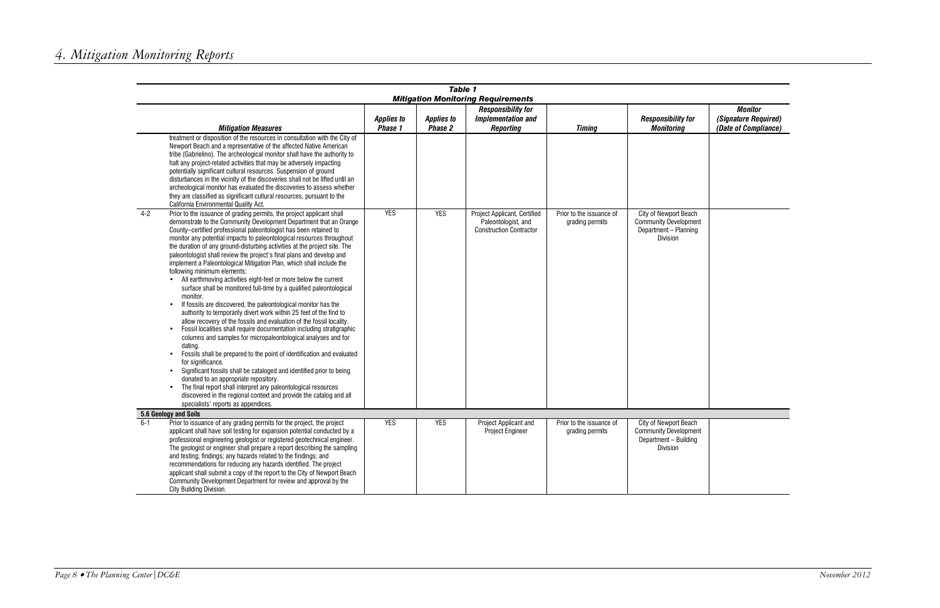| )ľ                                      | <b>Monitor</b><br>(Signature Required)<br>(Date of Compliance) |
|-----------------------------------------|----------------------------------------------------------------|
|                                         |                                                                |
|                                         |                                                                |
|                                         |                                                                |
| $\overline{\mathsf{ch}}$<br>nent<br>ing |                                                                |
|                                         |                                                                |
|                                         |                                                                |
|                                         |                                                                |
|                                         |                                                                |
|                                         |                                                                |
|                                         |                                                                |
|                                         |                                                                |
| ch<br>nent<br>ng                        |                                                                |
|                                         |                                                                |
|                                         |                                                                |

|         |                                                                                                                                                                                                                                                                                                                                                                                                                                                                                                                                                                                                                                                                                                                                                                                                                                                                                                                                                                                                                                                                                                                                                                                                                                                                                                                                                                                                                                                                                  |                              | <b>Table 1</b>               | <b>Mitigation Monitoring Requirements</b>                                             |                                             |                                                                                            |
|---------|----------------------------------------------------------------------------------------------------------------------------------------------------------------------------------------------------------------------------------------------------------------------------------------------------------------------------------------------------------------------------------------------------------------------------------------------------------------------------------------------------------------------------------------------------------------------------------------------------------------------------------------------------------------------------------------------------------------------------------------------------------------------------------------------------------------------------------------------------------------------------------------------------------------------------------------------------------------------------------------------------------------------------------------------------------------------------------------------------------------------------------------------------------------------------------------------------------------------------------------------------------------------------------------------------------------------------------------------------------------------------------------------------------------------------------------------------------------------------------|------------------------------|------------------------------|---------------------------------------------------------------------------------------|---------------------------------------------|--------------------------------------------------------------------------------------------|
|         | <b>Mitigation Measures</b>                                                                                                                                                                                                                                                                                                                                                                                                                                                                                                                                                                                                                                                                                                                                                                                                                                                                                                                                                                                                                                                                                                                                                                                                                                                                                                                                                                                                                                                       | <b>Applies to</b><br>Phase 1 | <b>Applies to</b><br>Phase 2 | <b>Responsibility for</b><br><b>Implementation and</b><br><b>Reporting</b>            | <b>Timing</b>                               | <b>Responsibility for</b><br><b>Monitoring</b>                                             |
|         | treatment or disposition of the resources in consultation with the City of<br>Newport Beach and a representative of the affected Native American<br>tribe (Gabrielino). The archeological monitor shall have the authority to<br>halt any project-related activities that may be adversely impacting<br>potentially significant cultural resources. Suspension of ground<br>disturbances in the vicinity of the discoveries shall not be lifted until an<br>archeological monitor has evaluated the discoveries to assess whether<br>they are classified as significant cultural resources, pursuant to the<br>California Environmental Quality Act.                                                                                                                                                                                                                                                                                                                                                                                                                                                                                                                                                                                                                                                                                                                                                                                                                             |                              |                              |                                                                                       |                                             |                                                                                            |
| $4 - 2$ | Prior to the issuance of grading permits, the project applicant shall<br>demonstrate to the Community Development Department that an Orange<br>County-certified professional paleontologist has been retained to<br>monitor any potential impacts to paleontological resources throughout<br>the duration of any ground-disturbing activities at the project site. The<br>paleontologist shall review the project's final plans and develop and<br>implement a Paleontological Mitigation Plan, which shall include the<br>following minimum elements:<br>All earthmoving activities eight-feet or more below the current<br>surface shall be monitored full-time by a qualified paleontological<br>monitor.<br>If fossils are discovered, the paleontological monitor has the<br>authority to temporarily divert work within 25 feet of the find to<br>allow recovery of the fossils and evaluation of the fossil locality.<br>Fossil localities shall require documentation including stratigraphic<br>columns and samples for micropaleontological analyses and for<br>dating.<br>Fossils shall be prepared to the point of identification and evaluated<br>for significance.<br>Significant fossils shall be cataloged and identified prior to being<br>donated to an appropriate repository.<br>The final report shall interpret any paleontological resources<br>discovered in the regional context and provide the catalog and all<br>specialists' reports as appendices. | <b>YES</b>                   | <b>YES</b>                   | Project Applicant, Certified<br>Paleontologist, and<br><b>Construction Contractor</b> | Prior to the issuance of<br>grading permits | City of Newport Beach<br><b>Community Development</b><br>Department - Planning<br>Division |
|         | 5.6 Geology and Soils                                                                                                                                                                                                                                                                                                                                                                                                                                                                                                                                                                                                                                                                                                                                                                                                                                                                                                                                                                                                                                                                                                                                                                                                                                                                                                                                                                                                                                                            |                              |                              |                                                                                       |                                             |                                                                                            |
| $6 - 1$ | Prior to issuance of any grading permits for the project, the project<br>applicant shall have soil testing for expansion potential conducted by a<br>professional engineering geologist or registered geotechnical engineer.<br>The geologist or engineer shall prepare a report describing the sampling<br>and testing; findings; any hazards related to the findings; and<br>recommendations for reducing any hazards identified. The project<br>applicant shall submit a copy of the report to the City of Newport Beach<br>Community Development Department for review and approval by the<br>City Building Division.                                                                                                                                                                                                                                                                                                                                                                                                                                                                                                                                                                                                                                                                                                                                                                                                                                                        | <b>YES</b>                   | <b>YES</b>                   | Project Applicant and<br><b>Project Engineer</b>                                      | Prior to the issuance of<br>grading permits | City of Newport Beach<br><b>Community Development</b><br>Department - Building<br>Division |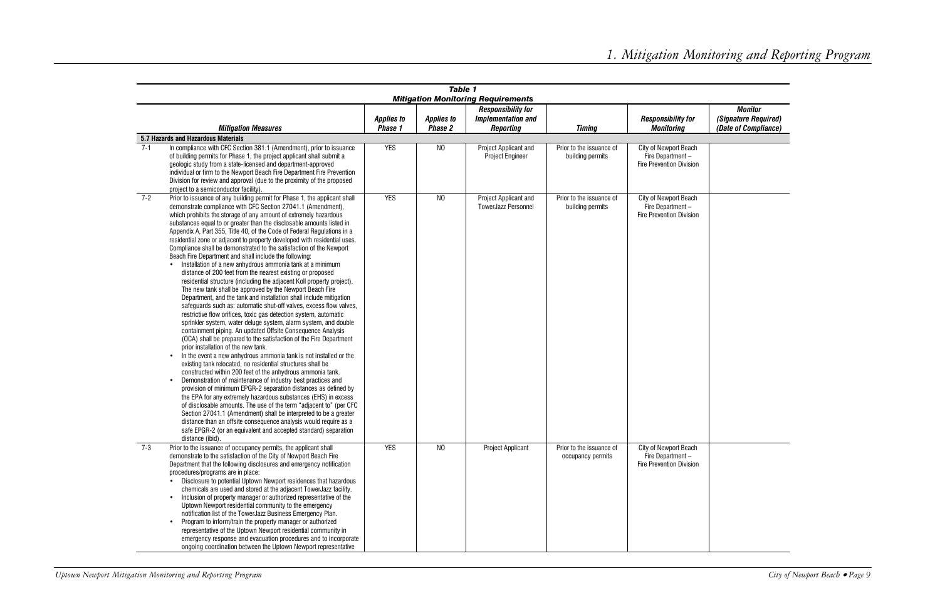| r for<br>ı | <b>Monitor</b><br>(Signature Required)<br>(Date of Compliance) |
|------------|----------------------------------------------------------------|
|            |                                                                |
| Beach      |                                                                |
| $t -$      |                                                                |
| vision     |                                                                |
|            |                                                                |
|            |                                                                |
| Beach      |                                                                |
| $t -$      |                                                                |
| vision     |                                                                |
|            |                                                                |
|            |                                                                |
|            |                                                                |
|            |                                                                |
|            |                                                                |
|            |                                                                |
|            |                                                                |
|            |                                                                |
|            |                                                                |
|            |                                                                |
|            |                                                                |
|            |                                                                |
|            |                                                                |
|            |                                                                |
|            |                                                                |
|            |                                                                |
|            |                                                                |
|            |                                                                |
|            |                                                                |
|            |                                                                |
|            |                                                                |
|            |                                                                |
|            |                                                                |
|            |                                                                |
| Beach      |                                                                |
| $t -$      |                                                                |
| vision     |                                                                |
|            |                                                                |
|            |                                                                |
|            |                                                                |
|            |                                                                |
|            |                                                                |
|            |                                                                |
|            |                                                                |
|            |                                                                |
|            |                                                                |

|         |                                                                                                                                                                                                                                                                                                                                                                                                                                                                                                                                                                                                                                                                                                                                                                                                                                                                                                                                                                                                                                                                                                                                                                                                                                                                                                                                                                                                                                                                                                                                                                                                                                                                                                                                                                                                                                                                                                                                                                                                                                       |                              | <b>Table 1</b>               | <b>Mitigation Monitoring Requirements</b>                                  |                                               |                                                                               |
|---------|---------------------------------------------------------------------------------------------------------------------------------------------------------------------------------------------------------------------------------------------------------------------------------------------------------------------------------------------------------------------------------------------------------------------------------------------------------------------------------------------------------------------------------------------------------------------------------------------------------------------------------------------------------------------------------------------------------------------------------------------------------------------------------------------------------------------------------------------------------------------------------------------------------------------------------------------------------------------------------------------------------------------------------------------------------------------------------------------------------------------------------------------------------------------------------------------------------------------------------------------------------------------------------------------------------------------------------------------------------------------------------------------------------------------------------------------------------------------------------------------------------------------------------------------------------------------------------------------------------------------------------------------------------------------------------------------------------------------------------------------------------------------------------------------------------------------------------------------------------------------------------------------------------------------------------------------------------------------------------------------------------------------------------------|------------------------------|------------------------------|----------------------------------------------------------------------------|-----------------------------------------------|-------------------------------------------------------------------------------|
|         | <b>Mitigation Measures</b>                                                                                                                                                                                                                                                                                                                                                                                                                                                                                                                                                                                                                                                                                                                                                                                                                                                                                                                                                                                                                                                                                                                                                                                                                                                                                                                                                                                                                                                                                                                                                                                                                                                                                                                                                                                                                                                                                                                                                                                                            | <b>Applies to</b><br>Phase 1 | <b>Applies to</b><br>Phase 2 | <b>Responsibility for</b><br><b>Implementation and</b><br><b>Reporting</b> | <b>Timing</b>                                 | <b>Responsibility for</b><br><b>Monitoring</b>                                |
|         | 5.7 Hazards and Hazardous Materials                                                                                                                                                                                                                                                                                                                                                                                                                                                                                                                                                                                                                                                                                                                                                                                                                                                                                                                                                                                                                                                                                                                                                                                                                                                                                                                                                                                                                                                                                                                                                                                                                                                                                                                                                                                                                                                                                                                                                                                                   |                              |                              |                                                                            |                                               |                                                                               |
| $7 - 1$ | In compliance with CFC Section 381.1 (Amendment), prior to issuance<br>of building permits for Phase 1, the project applicant shall submit a<br>geologic study from a state-licensed and department-approved<br>individual or firm to the Newport Beach Fire Department Fire Prevention<br>Division for review and approval (due to the proximity of the proposed<br>project to a semiconductor facility).                                                                                                                                                                                                                                                                                                                                                                                                                                                                                                                                                                                                                                                                                                                                                                                                                                                                                                                                                                                                                                                                                                                                                                                                                                                                                                                                                                                                                                                                                                                                                                                                                            | <b>YES</b>                   | N <sub>0</sub>               | Project Applicant and<br><b>Project Engineer</b>                           | Prior to the issuance of<br>building permits  | City of Newport Beach<br>Fire Department -<br><b>Fire Prevention Division</b> |
| $7 - 2$ | Prior to issuance of any building permit for Phase 1, the applicant shall<br>demonstrate compliance with CFC Section 27041.1 (Amendment),<br>which prohibits the storage of any amount of extremely hazardous<br>substances equal to or greater than the disclosable amounts listed in<br>Appendix A, Part 355, Title 40, of the Code of Federal Regulations in a<br>residential zone or adjacent to property developed with residential uses.<br>Compliance shall be demonstrated to the satisfaction of the Newport<br>Beach Fire Department and shall include the following:<br>Installation of a new anhydrous ammonia tank at a minimum<br>distance of 200 feet from the nearest existing or proposed<br>residential structure (including the adjacent Koll property project).<br>The new tank shall be approved by the Newport Beach Fire<br>Department, and the tank and installation shall include mitigation<br>safeguards such as: automatic shut-off valves, excess flow valves,<br>restrictive flow orifices, toxic gas detection system, automatic<br>sprinkler system, water deluge system, alarm system, and double<br>containment piping. An updated Offsite Consequence Analysis<br>(OCA) shall be prepared to the satisfaction of the Fire Department<br>prior installation of the new tank.<br>In the event a new anhydrous ammonia tank is not installed or the<br>$\bullet$<br>existing tank relocated, no residential structures shall be<br>constructed within 200 feet of the anhydrous ammonia tank.<br>Demonstration of maintenance of industry best practices and<br>provision of minimum EPGR-2 separation distances as defined by<br>the EPA for any extremely hazardous substances (EHS) in excess<br>of disclosable amounts. The use of the term "adjacent to" (per CFC<br>Section 27041.1 (Amendment) shall be interpreted to be a greater<br>distance than an offsite consequence analysis would require as a<br>safe EPGR-2 (or an equivalent and accepted standard) separation<br>distance (ibid). | <b>YES</b>                   | N <sub>0</sub>               | Project Applicant and<br><b>TowerJazz Personnel</b>                        | Prior to the issuance of<br>building permits  | City of Newport Beach<br>Fire Department -<br><b>Fire Prevention Division</b> |
| $7 - 3$ | Prior to the issuance of occupancy permits, the applicant shall<br>demonstrate to the satisfaction of the City of Newport Beach Fire<br>Department that the following disclosures and emergency notification<br>procedures/programs are in place:<br>Disclosure to potential Uptown Newport residences that hazardous<br>chemicals are used and stored at the adjacent TowerJazz facility.<br>Inclusion of property manager or authorized representative of the<br>$\bullet$<br>Uptown Newport residential community to the emergency<br>notification list of the TowerJazz Business Emergency Plan.<br>Program to inform/train the property manager or authorized<br>representative of the Uptown Newport residential community in<br>emergency response and evacuation procedures and to incorporate<br>ongoing coordination between the Uptown Newport representative                                                                                                                                                                                                                                                                                                                                                                                                                                                                                                                                                                                                                                                                                                                                                                                                                                                                                                                                                                                                                                                                                                                                                              | <b>YES</b>                   | N <sub>0</sub>               | <b>Project Applicant</b>                                                   | Prior to the issuance of<br>occupancy permits | City of Newport Beach<br>Fire Department -<br><b>Fire Prevention Division</b> |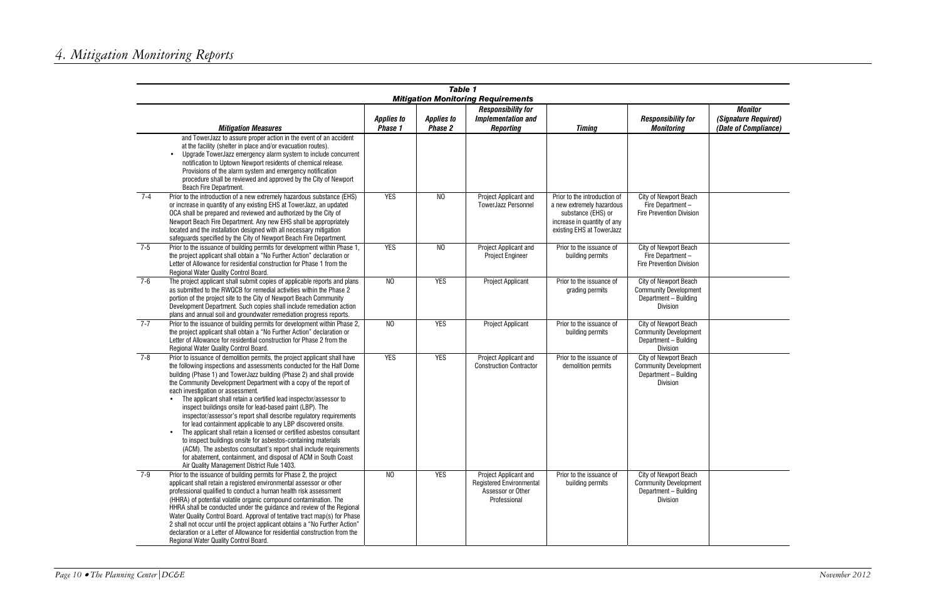| )ľ                               | <b>Monitor</b><br>(Signature Required)<br>(Date of Compliance) |  |  |  |  |  |  |
|----------------------------------|----------------------------------------------------------------|--|--|--|--|--|--|
|                                  |                                                                |  |  |  |  |  |  |
|                                  |                                                                |  |  |  |  |  |  |
|                                  |                                                                |  |  |  |  |  |  |
| ch                               |                                                                |  |  |  |  |  |  |
| ion                              |                                                                |  |  |  |  |  |  |
|                                  |                                                                |  |  |  |  |  |  |
| ch                               |                                                                |  |  |  |  |  |  |
| ion                              |                                                                |  |  |  |  |  |  |
| $\overline{\mathsf{ch}}$<br>nent |                                                                |  |  |  |  |  |  |
| ng                               |                                                                |  |  |  |  |  |  |
| $\overline{\mathsf{ch}}$         |                                                                |  |  |  |  |  |  |
| nent<br>ng                       |                                                                |  |  |  |  |  |  |
| $\overline{\mathsf{ch}}$         |                                                                |  |  |  |  |  |  |
| nent<br>ng                       |                                                                |  |  |  |  |  |  |
|                                  |                                                                |  |  |  |  |  |  |
|                                  |                                                                |  |  |  |  |  |  |
|                                  |                                                                |  |  |  |  |  |  |
|                                  |                                                                |  |  |  |  |  |  |
|                                  |                                                                |  |  |  |  |  |  |
| ıch                              |                                                                |  |  |  |  |  |  |
| nent<br>ng                       |                                                                |  |  |  |  |  |  |
|                                  |                                                                |  |  |  |  |  |  |
|                                  |                                                                |  |  |  |  |  |  |
|                                  |                                                                |  |  |  |  |  |  |
|                                  |                                                                |  |  |  |  |  |  |

|         | <b>Table 1</b><br><b>Mitigation Monitoring Requirements</b>                                                                                                                                                                                                                                                                                                                                                                                                                                                                                                                                                                                                                                                                                                                                                                                                                                                                                    |                              |                              |                                                                                               |                                                                                                                                             |                                                                                                   |  |
|---------|------------------------------------------------------------------------------------------------------------------------------------------------------------------------------------------------------------------------------------------------------------------------------------------------------------------------------------------------------------------------------------------------------------------------------------------------------------------------------------------------------------------------------------------------------------------------------------------------------------------------------------------------------------------------------------------------------------------------------------------------------------------------------------------------------------------------------------------------------------------------------------------------------------------------------------------------|------------------------------|------------------------------|-----------------------------------------------------------------------------------------------|---------------------------------------------------------------------------------------------------------------------------------------------|---------------------------------------------------------------------------------------------------|--|
|         | <b>Mitigation Measures</b>                                                                                                                                                                                                                                                                                                                                                                                                                                                                                                                                                                                                                                                                                                                                                                                                                                                                                                                     | <b>Applies to</b><br>Phase 1 | <b>Applies to</b><br>Phase 2 | <b>Responsibility for</b><br><b>Implementation and</b><br><b>Reporting</b>                    | <b>Timing</b>                                                                                                                               | <b>Responsibility for</b><br><b>Monitoring</b>                                                    |  |
|         | and TowerJazz to assure proper action in the event of an accident<br>at the facility (shelter in place and/or evacuation routes).<br>Upgrade TowerJazz emergency alarm system to include concurrent<br>$\bullet$<br>notification to Uptown Newport residents of chemical release.<br>Provisions of the alarm system and emergency notification<br>procedure shall be reviewed and approved by the City of Newport<br>Beach Fire Department.                                                                                                                                                                                                                                                                                                                                                                                                                                                                                                    |                              |                              |                                                                                               |                                                                                                                                             |                                                                                                   |  |
| $7 - 4$ | Prior to the introduction of a new extremely hazardous substance (EHS)<br>or increase in quantity of any existing EHS at TowerJazz, an updated<br>OCA shall be prepared and reviewed and authorized by the City of<br>Newport Beach Fire Department. Any new EHS shall be appropriately<br>located and the installation designed with all necessary mitigation<br>safeguards specified by the City of Newport Beach Fire Department.                                                                                                                                                                                                                                                                                                                                                                                                                                                                                                           | <b>YES</b>                   | N <sub>O</sub>               | Project Applicant and<br><b>TowerJazz Personnel</b>                                           | Prior to the introduction of<br>a new extremely hazardous<br>substance (EHS) or<br>increase in quantity of any<br>existing EHS at TowerJazz | City of Newport Beach<br>Fire Department -<br><b>Fire Prevention Division</b>                     |  |
| $7 - 5$ | Prior to the issuance of building permits for development within Phase 1,<br>the project applicant shall obtain a "No Further Action" declaration or<br>Letter of Allowance for residential construction for Phase 1 from the<br>Regional Water Quality Control Board.                                                                                                                                                                                                                                                                                                                                                                                                                                                                                                                                                                                                                                                                         | <b>YES</b>                   | N <sub>O</sub>               | <b>Project Applicant and</b><br><b>Project Engineer</b>                                       | Prior to the issuance of<br>building permits                                                                                                | City of Newport Beach<br>Fire Department -<br><b>Fire Prevention Division</b>                     |  |
| $7 - 6$ | The project applicant shall submit copies of applicable reports and plans<br>as submitted to the RWQCB for remedial activities within the Phase 2<br>portion of the project site to the City of Newport Beach Community<br>Development Department. Such copies shall include remediation action<br>plans and annual soil and groundwater remediation progress reports.                                                                                                                                                                                                                                                                                                                                                                                                                                                                                                                                                                         | N <sub>O</sub>               | <b>YES</b>                   | <b>Project Applicant</b>                                                                      | Prior to the issuance of<br>grading permits                                                                                                 | City of Newport Beach<br><b>Community Development</b><br>Department - Building<br><b>Division</b> |  |
| $7 - 7$ | Prior to the issuance of building permits for development within Phase 2,<br>the project applicant shall obtain a "No Further Action" declaration or<br>Letter of Allowance for residential construction for Phase 2 from the<br>Regional Water Quality Control Board.                                                                                                                                                                                                                                                                                                                                                                                                                                                                                                                                                                                                                                                                         | N <sub>O</sub>               | <b>YES</b>                   | <b>Project Applicant</b>                                                                      | Prior to the issuance of<br>building permits                                                                                                | City of Newport Beach<br><b>Community Development</b><br>Department - Building<br>Division        |  |
| $7 - 8$ | Prior to issuance of demolition permits, the project applicant shall have<br>the following inspections and assessments conducted for the Half Dome<br>building (Phase 1) and TowerJazz building (Phase 2) and shall provide<br>the Community Development Department with a copy of the report of<br>each investigation or assessment.<br>The applicant shall retain a certified lead inspector/assessor to<br>inspect buildings onsite for lead-based paint (LBP). The<br>inspector/assessor's report shall describe regulatory requirements<br>for lead containment applicable to any LBP discovered onsite.<br>The applicant shall retain a licensed or certified asbestos consultant<br>to inspect buildings onsite for asbestos-containing materials<br>(ACM). The asbestos consultant's report shall include requirements<br>for abatement, containment, and disposal of ACM in South Coast<br>Air Quality Management District Rule 1403. | <b>YES</b>                   | <b>YES</b>                   | Project Applicant and<br><b>Construction Contractor</b>                                       | Prior to the issuance of<br>demolition permits                                                                                              | City of Newport Beach<br><b>Community Development</b><br>Department - Building<br><b>Division</b> |  |
| $7 - 9$ | Prior to the issuance of building permits for Phase 2, the project<br>applicant shall retain a registered environmental assessor or other<br>professional qualified to conduct a human health risk assessment<br>(HHRA) of potential volatile organic compound contamination. The<br>HHRA shall be conducted under the guidance and review of the Regional<br>Water Quality Control Board. Approval of tentative tract map(s) for Phase<br>2 shall not occur until the project applicant obtains a "No Further Action"<br>declaration or a Letter of Allowance for residential construction from the<br>Regional Water Quality Control Board.                                                                                                                                                                                                                                                                                                  | N <sub>O</sub>               | <b>YES</b>                   | Project Applicant and<br><b>Registered Environmental</b><br>Assessor or Other<br>Professional | Prior to the issuance of<br>building permits                                                                                                | City of Newport Beach<br><b>Community Development</b><br>Department - Building<br>Division        |  |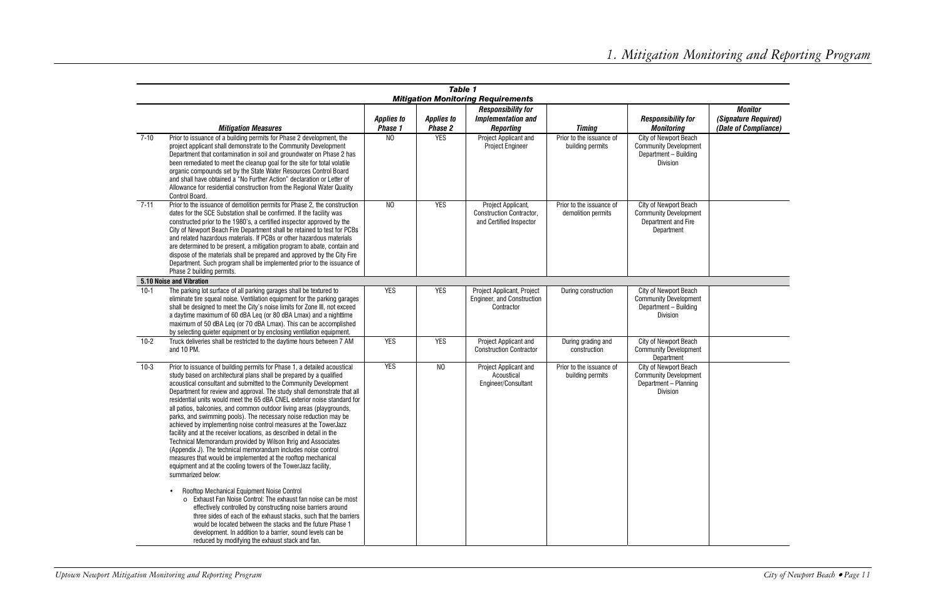|          |                                                                                                                                                                                                                                                                                                                                                                                                                                                                                                                                                                                                                                                                                                                                                                                                                                                                                                                                                                                                                                                                              |                              | Table 1                      | <b>Mitigation Monitoring Requirements</b>                                        |                                                |                                                                                                   |                                                                |
|----------|------------------------------------------------------------------------------------------------------------------------------------------------------------------------------------------------------------------------------------------------------------------------------------------------------------------------------------------------------------------------------------------------------------------------------------------------------------------------------------------------------------------------------------------------------------------------------------------------------------------------------------------------------------------------------------------------------------------------------------------------------------------------------------------------------------------------------------------------------------------------------------------------------------------------------------------------------------------------------------------------------------------------------------------------------------------------------|------------------------------|------------------------------|----------------------------------------------------------------------------------|------------------------------------------------|---------------------------------------------------------------------------------------------------|----------------------------------------------------------------|
|          | <b>Mitigation Measures</b>                                                                                                                                                                                                                                                                                                                                                                                                                                                                                                                                                                                                                                                                                                                                                                                                                                                                                                                                                                                                                                                   | <b>Applies to</b><br>Phase 1 | <b>Applies to</b><br>Phase 2 | <b>Responsibility for</b><br><b>Implementation and</b><br><b>Reporting</b>       | <b>Timing</b>                                  | <b>Responsibility for</b><br><b>Monitoring</b>                                                    | <b>Monitor</b><br>(Signature Required)<br>(Date of Compliance) |
| $7 - 10$ | Prior to issuance of a building permits for Phase 2 development, the<br>project applicant shall demonstrate to the Community Development<br>Department that contamination in soil and groundwater on Phase 2 has<br>been remediated to meet the cleanup goal for the site for total volatile<br>organic compounds set by the State Water Resources Control Board<br>and shall have obtained a "No Further Action" declaration or Letter of<br>Allowance for residential construction from the Regional Water Quality<br>Control Board.                                                                                                                                                                                                                                                                                                                                                                                                                                                                                                                                       | NO                           | <b>YES</b>                   | Project Applicant and<br>Project Engineer                                        | Prior to the issuance of<br>building permits   | City of Newport Beach<br><b>Community Development</b><br>Department - Building<br>Division        |                                                                |
| $7 - 11$ | Prior to the issuance of demolition permits for Phase 2, the construction<br>dates for the SCE Substation shall be confirmed. If the facility was<br>constructed prior to the 1980's, a certified inspector approved by the<br>City of Newport Beach Fire Department shall be retained to test for PCBs<br>and related hazardous materials. If PCBs or other hazardous materials<br>are determined to be present, a mitigation program to abate, contain and<br>dispose of the materials shall be prepared and approved by the City Fire<br>Department. Such program shall be implemented prior to the issuance of<br>Phase 2 building permits.                                                                                                                                                                                                                                                                                                                                                                                                                              | N <sub>O</sub>               | <b>YES</b>                   | Project Applicant,<br><b>Construction Contractor,</b><br>and Certified Inspector | Prior to the issuance of<br>demolition permits | City of Newport Beach<br><b>Community Development</b><br>Department and Fire<br>Department        |                                                                |
|          | 5.10 Noise and Vibration                                                                                                                                                                                                                                                                                                                                                                                                                                                                                                                                                                                                                                                                                                                                                                                                                                                                                                                                                                                                                                                     |                              |                              |                                                                                  |                                                |                                                                                                   |                                                                |
| $10-1$   | The parking lot surface of all parking garages shall be textured to<br>eliminate tire squeal noise. Ventilation equipment for the parking garages<br>shall be designed to meet the City's noise limits for Zone III, not exceed<br>a daytime maximum of 60 dBA Leq (or 80 dBA Lmax) and a nighttime<br>maximum of 50 dBA Leq (or 70 dBA Lmax). This can be accomplished<br>by selecting quieter equipment or by enclosing ventilation equipment.                                                                                                                                                                                                                                                                                                                                                                                                                                                                                                                                                                                                                             | <b>YES</b>                   | <b>YES</b>                   | Project Applicant, Project<br><b>Engineer, and Construction</b><br>Contractor    | During construction                            | City of Newport Beach<br><b>Community Development</b><br>Department - Building<br>Division        |                                                                |
| $10-2$   | Truck deliveries shall be restricted to the daytime hours between 7 AM<br>and 10 PM.                                                                                                                                                                                                                                                                                                                                                                                                                                                                                                                                                                                                                                                                                                                                                                                                                                                                                                                                                                                         | <b>YES</b>                   | <b>YES</b>                   | Project Applicant and<br><b>Construction Contractor</b>                          | During grading and<br>construction             | City of Newport Beach<br><b>Community Development</b><br>Department                               |                                                                |
| $10-3$   | Prior to issuance of building permits for Phase 1, a detailed acoustical<br>study based on architectural plans shall be prepared by a qualified<br>acoustical consultant and submitted to the Community Development<br>Department for review and approval. The study shall demonstrate that all<br>residential units would meet the 65 dBA CNEL exterior noise standard for<br>all patios, balconies, and common outdoor living areas (playgrounds,<br>parks, and swimming pools). The necessary noise reduction may be<br>achieved by implementing noise control measures at the TowerJazz<br>facility and at the receiver locations, as described in detail in the<br>Technical Memorandum provided by Wilson Ihrig and Associates<br>(Appendix J). The technical memorandum includes noise control<br>measures that would be implemented at the rooftop mechanical<br>equipment and at the cooling towers of the TowerJazz facility,<br>summarized below:<br>Rooftop Mechanical Equipment Noise Control<br>o Exhaust Fan Noise Control: The exhaust fan noise can be most | <b>YES</b>                   | N <sub>0</sub>               | Project Applicant and<br>Acoustical<br>Engineer/Consultant                       | Prior to the issuance of<br>building permits   | <b>City of Newport Beach</b><br><b>Community Development</b><br>Department - Planning<br>Division |                                                                |
|          | effectively controlled by constructing noise barriers around<br>three sides of each of the exhaust stacks, such that the barriers<br>would be located between the stacks and the future Phase 1<br>development. In addition to a barrier, sound levels can be<br>reduced by modifying the exhaust stack and fan.                                                                                                                                                                                                                                                                                                                                                                                                                                                                                                                                                                                                                                                                                                                                                             |                              |                              |                                                                                  |                                                |                                                                                                   |                                                                |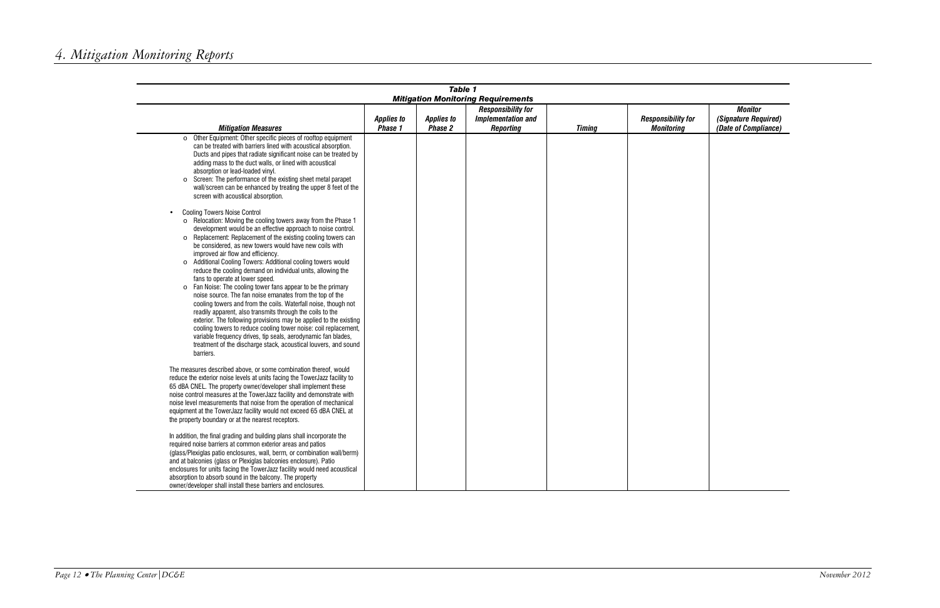| Table 1<br><b>Mitigation Monitoring Requirements</b>                                                                                                                                                                                                                                                                                                                                                                                                                                                                                                                                                                                                                                                                                                                                                                          |                              |                              |                                                                            |               |                                                |                                                                |  |  |
|-------------------------------------------------------------------------------------------------------------------------------------------------------------------------------------------------------------------------------------------------------------------------------------------------------------------------------------------------------------------------------------------------------------------------------------------------------------------------------------------------------------------------------------------------------------------------------------------------------------------------------------------------------------------------------------------------------------------------------------------------------------------------------------------------------------------------------|------------------------------|------------------------------|----------------------------------------------------------------------------|---------------|------------------------------------------------|----------------------------------------------------------------|--|--|
| <b>Mitigation Measures</b>                                                                                                                                                                                                                                                                                                                                                                                                                                                                                                                                                                                                                                                                                                                                                                                                    | <b>Applies to</b><br>Phase 1 | <b>Applies to</b><br>Phase 2 | <b>Responsibility for</b><br><b>Implementation and</b><br><b>Reporting</b> | <b>Timing</b> | <b>Responsibility for</b><br><b>Monitoring</b> | <b>Monitor</b><br>(Signature Required)<br>(Date of Compliance) |  |  |
| o Other Equipment: Other specific pieces of rooftop equipment<br>can be treated with barriers lined with acoustical absorption.<br>Ducts and pipes that radiate significant noise can be treated by<br>adding mass to the duct walls, or lined with acoustical<br>absorption or lead-loaded vinyl.<br>Screen: The performance of the existing sheet metal parapet<br>$\circ$<br>wall/screen can be enhanced by treating the upper 8 feet of the<br>screen with acoustical absorption.<br><b>Cooling Towers Noise Control</b><br>o Relocation: Moving the cooling towers away from the Phase 1<br>development would be an effective approach to noise control.<br>o Replacement: Replacement of the existing cooling towers can<br>be considered, as new towers would have new coils with<br>improved air flow and efficiency. |                              |                              |                                                                            |               |                                                |                                                                |  |  |
| o Additional Cooling Towers: Additional cooling towers would<br>reduce the cooling demand on individual units, allowing the<br>fans to operate at lower speed.<br>$\circ$ Fan Noise: The cooling tower fans appear to be the primary<br>noise source. The fan noise emanates from the top of the<br>cooling towers and from the coils. Waterfall noise, though not<br>readily apparent, also transmits through the coils to the<br>exterior. The following provisions may be applied to the existing<br>cooling towers to reduce cooling tower noise: coil replacement,<br>variable frequency drives, tip seals, aerodynamic fan blades,<br>treatment of the discharge stack, acoustical louvers, and sound<br>barriers.                                                                                                      |                              |                              |                                                                            |               |                                                |                                                                |  |  |
| The measures described above, or some combination thereof, would<br>reduce the exterior noise levels at units facing the TowerJazz facility to<br>65 dBA CNEL. The property owner/developer shall implement these<br>noise control measures at the TowerJazz facility and demonstrate with<br>noise level measurements that noise from the operation of mechanical<br>equipment at the TowerJazz facility would not exceed 65 dBA CNEL at<br>the property boundary or at the nearest receptors.                                                                                                                                                                                                                                                                                                                               |                              |                              |                                                                            |               |                                                |                                                                |  |  |
| In addition, the final grading and building plans shall incorporate the<br>required noise barriers at common exterior areas and patios<br>(glass/Plexiglas patio enclosures, wall, berm, or combination wall/berm)<br>and at balconies (glass or Plexiglas balconies enclosure). Patio<br>enclosures for units facing the TowerJazz facility would need acoustical<br>absorption to absorb sound in the balcony. The property<br>owner/developer shall install these barriers and enclosures.                                                                                                                                                                                                                                                                                                                                 |                              |                              |                                                                            |               |                                                |                                                                |  |  |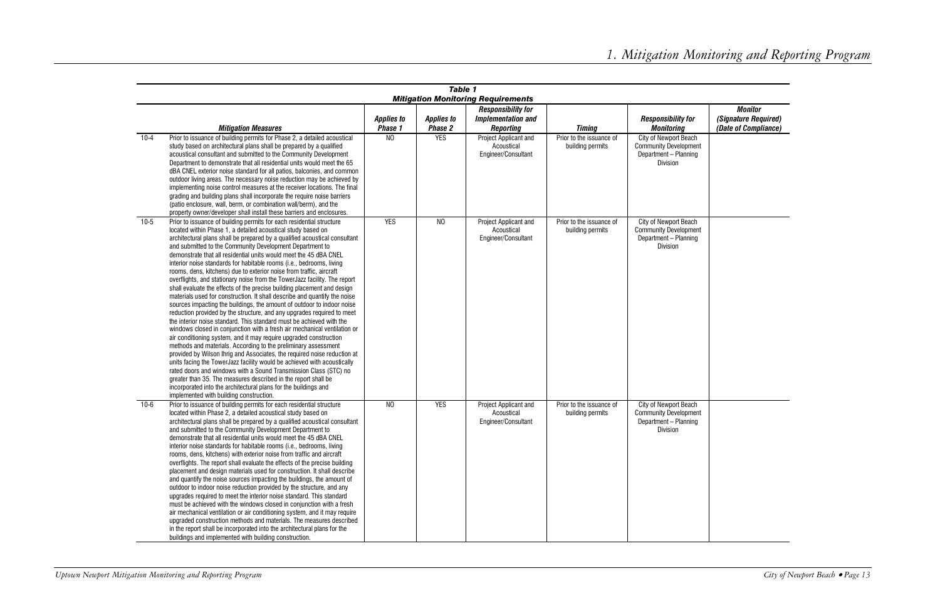|          | <b>Table 1</b><br><b>Mitigation Monitoring Requirements</b>                                                                                                                                                                                                                                                                                                                                                                                                                                                                                                                                                                                                                                                                                                                                                                                                                                                                                                                                                                                                                                                                                                                                                                                                                                                                                                                                                                                                                                                                                                                                       |                              |                              |                                                                            |                                              |                                                                                                   |  |  |
|----------|---------------------------------------------------------------------------------------------------------------------------------------------------------------------------------------------------------------------------------------------------------------------------------------------------------------------------------------------------------------------------------------------------------------------------------------------------------------------------------------------------------------------------------------------------------------------------------------------------------------------------------------------------------------------------------------------------------------------------------------------------------------------------------------------------------------------------------------------------------------------------------------------------------------------------------------------------------------------------------------------------------------------------------------------------------------------------------------------------------------------------------------------------------------------------------------------------------------------------------------------------------------------------------------------------------------------------------------------------------------------------------------------------------------------------------------------------------------------------------------------------------------------------------------------------------------------------------------------------|------------------------------|------------------------------|----------------------------------------------------------------------------|----------------------------------------------|---------------------------------------------------------------------------------------------------|--|--|
|          | <b>Mitigation Measures</b>                                                                                                                                                                                                                                                                                                                                                                                                                                                                                                                                                                                                                                                                                                                                                                                                                                                                                                                                                                                                                                                                                                                                                                                                                                                                                                                                                                                                                                                                                                                                                                        | <b>Applies to</b><br>Phase 1 | <b>Applies to</b><br>Phase 2 | <b>Responsibility for</b><br><b>Implementation and</b><br><b>Reporting</b> | <b>Timing</b>                                | <b>Responsibility for</b><br><b>Monitoring</b>                                                    |  |  |
| $10-4$   | Prior to issuance of building permits for Phase 2, a detailed acoustical<br>study based on architectural plans shall be prepared by a qualified<br>acoustical consultant and submitted to the Community Development<br>Department to demonstrate that all residential units would meet the 65<br>dBA CNEL exterior noise standard for all patios, balconies, and common<br>outdoor living areas. The necessary noise reduction may be achieved by<br>implementing noise control measures at the receiver locations. The final<br>grading and building plans shall incorporate the require noise barriers<br>(patio enclosure, wall, berm, or combination wall/berm), and the<br>property owner/developer shall install these barriers and enclosures.                                                                                                                                                                                                                                                                                                                                                                                                                                                                                                                                                                                                                                                                                                                                                                                                                                             | N <sub>0</sub>               | <b>YES</b>                   | Project Applicant and<br>Acoustical<br>Engineer/Consultant                 | Prior to the issuance of<br>building permits | City of Newport Beach<br><b>Community Development</b><br>Department - Planning<br><b>Division</b> |  |  |
| $10 - 5$ | Prior to issuance of building permits for each residential structure<br>located within Phase 1, a detailed acoustical study based on<br>architectural plans shall be prepared by a qualified acoustical consultant<br>and submitted to the Community Development Department to<br>demonstrate that all residential units would meet the 45 dBA CNEL<br>interior noise standards for habitable rooms (i.e., bedrooms, living<br>rooms, dens, kitchens) due to exterior noise from traffic, aircraft<br>overflights, and stationary noise from the TowerJazz facility. The report<br>shall evaluate the effects of the precise building placement and design<br>materials used for construction. It shall describe and quantify the noise<br>sources impacting the buildings, the amount of outdoor to indoor noise<br>reduction provided by the structure, and any upgrades required to meet<br>the interior noise standard. This standard must be achieved with the<br>windows closed in conjunction with a fresh air mechanical ventilation or<br>air conditioning system, and it may require upgraded construction<br>methods and materials. According to the preliminary assessment<br>provided by Wilson Ihrig and Associates, the required noise reduction at<br>units facing the TowerJazz facility would be achieved with acoustically<br>rated doors and windows with a Sound Transmission Class (STC) no<br>greater than 35. The measures described in the report shall be<br>incorporated into the architectural plans for the buildings and<br>implemented with building construction. | <b>YES</b>                   | N <sub>O</sub>               | Project Applicant and<br>Acoustical<br>Engineer/Consultant                 | Prior to the issuance of<br>building permits | City of Newport Beach<br><b>Community Development</b><br>Department - Planning<br><b>Division</b> |  |  |
| $10-6$   | Prior to issuance of building permits for each residential structure<br>located within Phase 2, a detailed acoustical study based on<br>architectural plans shall be prepared by a qualified acoustical consultant<br>and submitted to the Community Development Department to<br>demonstrate that all residential units would meet the 45 dBA CNEL<br>interior noise standards for habitable rooms (i.e., bedrooms, living<br>rooms, dens, kitchens) with exterior noise from traffic and aircraft<br>overflights. The report shall evaluate the effects of the precise building<br>placement and design materials used for construction. It shall describe<br>and quantify the noise sources impacting the buildings, the amount of<br>outdoor to indoor noise reduction provided by the structure, and any<br>upgrades required to meet the interior noise standard. This standard<br>must be achieved with the windows closed in conjunction with a fresh<br>air mechanical ventilation or air conditioning system, and it may require<br>upgraded construction methods and materials. The measures described<br>in the report shall be incorporated into the architectural plans for the<br>buildings and implemented with building construction.                                                                                                                                                                                                                                                                                                                                            | N <sub>O</sub>               | <b>YES</b>                   | Project Applicant and<br>Acoustical<br>Engineer/Consultant                 | Prior to the issuance of<br>building permits | City of Newport Beach<br><b>Community Development</b><br>Department - Planning<br>Division        |  |  |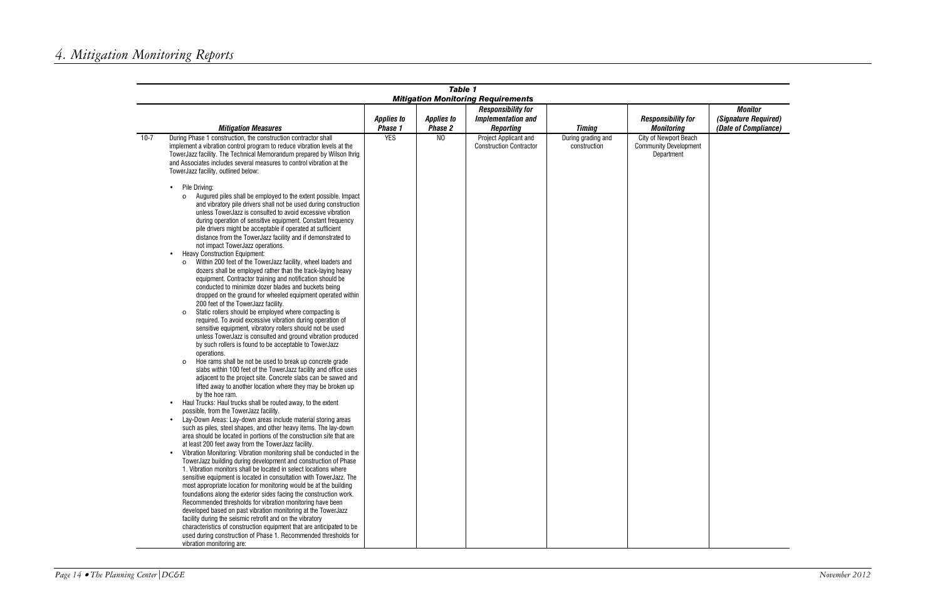|                                                                                                                                                                                                                                                                                                                                                                                                                                                                                                                                                                                                                                                                                                                                                                                                                                                                                                                                                                                                                                                                                                                                                                                                                                                                                                                                                                                                                                                                                                                                                                                                                                                                                                                                                                                                                                                                                                                                                                                                                                                                                                                                                                                                                                                                                                                                                                                                                                                                                                                                                                                                                                                                                                                          |                              |                              | <b>Table 1</b><br><b>Mitigation Monitoring Requirements</b>                |                                    |                                                                     |                                                                |  |  |  |  |  |
|--------------------------------------------------------------------------------------------------------------------------------------------------------------------------------------------------------------------------------------------------------------------------------------------------------------------------------------------------------------------------------------------------------------------------------------------------------------------------------------------------------------------------------------------------------------------------------------------------------------------------------------------------------------------------------------------------------------------------------------------------------------------------------------------------------------------------------------------------------------------------------------------------------------------------------------------------------------------------------------------------------------------------------------------------------------------------------------------------------------------------------------------------------------------------------------------------------------------------------------------------------------------------------------------------------------------------------------------------------------------------------------------------------------------------------------------------------------------------------------------------------------------------------------------------------------------------------------------------------------------------------------------------------------------------------------------------------------------------------------------------------------------------------------------------------------------------------------------------------------------------------------------------------------------------------------------------------------------------------------------------------------------------------------------------------------------------------------------------------------------------------------------------------------------------------------------------------------------------------------------------------------------------------------------------------------------------------------------------------------------------------------------------------------------------------------------------------------------------------------------------------------------------------------------------------------------------------------------------------------------------------------------------------------------------------------------------------------------------|------------------------------|------------------------------|----------------------------------------------------------------------------|------------------------------------|---------------------------------------------------------------------|----------------------------------------------------------------|--|--|--|--|--|
| <b>Mitigation Measures</b>                                                                                                                                                                                                                                                                                                                                                                                                                                                                                                                                                                                                                                                                                                                                                                                                                                                                                                                                                                                                                                                                                                                                                                                                                                                                                                                                                                                                                                                                                                                                                                                                                                                                                                                                                                                                                                                                                                                                                                                                                                                                                                                                                                                                                                                                                                                                                                                                                                                                                                                                                                                                                                                                                               | <b>Applies to</b><br>Phase 1 | <b>Applies to</b><br>Phase 2 | <b>Responsibility for</b><br><b>Implementation and</b><br><b>Reporting</b> | <b>Timing</b>                      | <b>Responsibility for</b><br><b>Monitoring</b>                      | <b>Monitor</b><br>(Signature Required)<br>(Date of Compliance) |  |  |  |  |  |
| During Phase 1 construction, the construction contractor shall<br>implement a vibration control program to reduce vibration levels at the<br>TowerJazz facility. The Technical Memorandum prepared by Wilson Ihrig<br>and Associates includes several measures to control vibration at the<br>TowerJazz facility, outlined below:                                                                                                                                                                                                                                                                                                                                                                                                                                                                                                                                                                                                                                                                                                                                                                                                                                                                                                                                                                                                                                                                                                                                                                                                                                                                                                                                                                                                                                                                                                                                                                                                                                                                                                                                                                                                                                                                                                                                                                                                                                                                                                                                                                                                                                                                                                                                                                                        | <b>YES</b>                   | $\overline{N}$               | Project Applicant and<br><b>Construction Contractor</b>                    | During grading and<br>construction | City of Newport Beach<br><b>Community Development</b><br>Department |                                                                |  |  |  |  |  |
| Pile Driving:<br>Augured piles shall be employed to the extent possible. Impact<br>$\circ$<br>and vibratory pile drivers shall not be used during construction<br>unless TowerJazz is consulted to avoid excessive vibration<br>during operation of sensitive equipment. Constant frequency<br>pile drivers might be acceptable if operated at sufficient<br>distance from the TowerJazz facility and if demonstrated to<br>not impact TowerJazz operations.<br><b>Heavy Construction Equipment:</b><br>$\bullet$<br>Within 200 feet of the TowerJazz facility, wheel loaders and<br>$\circ$<br>dozers shall be employed rather than the track-laying heavy<br>equipment. Contractor training and notification should be<br>conducted to minimize dozer blades and buckets being<br>dropped on the ground for wheeled equipment operated within<br>200 feet of the TowerJazz facility.<br>Static rollers should be employed where compacting is<br>$\circ$<br>required. To avoid excessive vibration during operation of<br>sensitive equipment, vibratory rollers should not be used<br>unless TowerJazz is consulted and ground vibration produced<br>by such rollers is found to be acceptable to TowerJazz<br>operations.<br>Hoe rams shall be not be used to break up concrete grade<br>$\circ$<br>slabs within 100 feet of the TowerJazz facility and office uses<br>adjacent to the project site. Concrete slabs can be sawed and<br>lifted away to another location where they may be broken up<br>by the hoe ram.<br>Haul Trucks: Haul trucks shall be routed away, to the extent<br>possible, from the TowerJazz facility.<br>Lay-Down Areas: Lay-down areas include material storing areas<br>$\bullet$<br>such as piles, steel shapes, and other heavy items. The lay-down<br>area should be located in portions of the construction site that are<br>at least 200 feet away from the TowerJazz facility.<br>Vibration Monitoring: Vibration monitoring shall be conducted in the<br>TowerJazz building during development and construction of Phase<br>1. Vibration monitors shall be located in select locations where<br>sensitive equipment is located in consultation with TowerJazz. The<br>most appropriate location for monitoring would be at the building<br>foundations along the exterior sides facing the construction work.<br>Recommended thresholds for vibration monitoring have been<br>developed based on past vibration monitoring at the TowerJazz<br>facility during the seismic retrofit and on the vibratory<br>characteristics of construction equipment that are anticipated to be<br>used during construction of Phase 1. Recommended thresholds for<br>vibration monitoring are: |                              |                              |                                                                            |                                    |                                                                     |                                                                |  |  |  |  |  |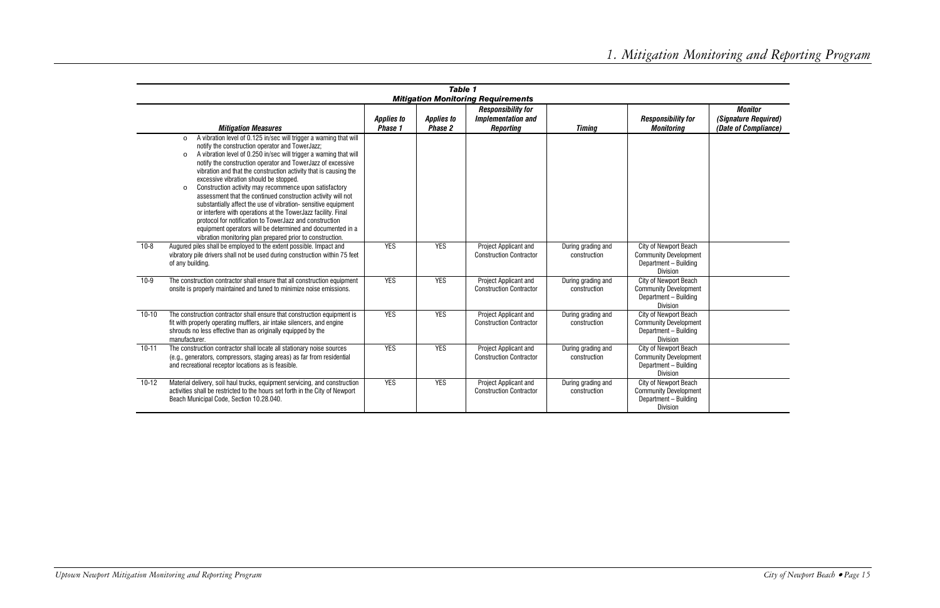| <b>Table 1</b><br><b>Mitigation Monitoring Requirements</b> |                                                                                                                                                                                                                                                                                                                                                                                                                                                                                                                                                                                                                                                                                                                                                                                                                                                    |                              |                              |                                                                            |                                    |                                                                                                   |                                                                |  |  |
|-------------------------------------------------------------|----------------------------------------------------------------------------------------------------------------------------------------------------------------------------------------------------------------------------------------------------------------------------------------------------------------------------------------------------------------------------------------------------------------------------------------------------------------------------------------------------------------------------------------------------------------------------------------------------------------------------------------------------------------------------------------------------------------------------------------------------------------------------------------------------------------------------------------------------|------------------------------|------------------------------|----------------------------------------------------------------------------|------------------------------------|---------------------------------------------------------------------------------------------------|----------------------------------------------------------------|--|--|
|                                                             | <b>Mitigation Measures</b>                                                                                                                                                                                                                                                                                                                                                                                                                                                                                                                                                                                                                                                                                                                                                                                                                         | <b>Applies to</b><br>Phase 1 | <b>Applies to</b><br>Phase 2 | <b>Responsibility for</b><br><b>Implementation and</b><br><b>Reporting</b> | <b>Timing</b>                      | <b>Responsibility for</b><br><b>Monitoring</b>                                                    | <b>Monitor</b><br>(Signature Required)<br>(Date of Compliance) |  |  |
|                                                             | A vibration level of 0.125 in/sec will trigger a warning that will<br>notify the construction operator and TowerJazz;<br>A vibration level of 0.250 in/sec will trigger a warning that will<br>$\circ$<br>notify the construction operator and TowerJazz of excessive<br>vibration and that the construction activity that is causing the<br>excessive vibration should be stopped.<br>Construction activity may recommence upon satisfactory<br>$\Omega$<br>assessment that the continued construction activity will not<br>substantially affect the use of vibration- sensitive equipment<br>or interfere with operations at the TowerJazz facility. Final<br>protocol for notification to TowerJazz and construction<br>equipment operators will be determined and documented in a<br>vibration monitoring plan prepared prior to construction. |                              |                              |                                                                            |                                    |                                                                                                   |                                                                |  |  |
| $10-8$                                                      | Augured piles shall be employed to the extent possible. Impact and<br>vibratory pile drivers shall not be used during construction within 75 feet<br>of any building.                                                                                                                                                                                                                                                                                                                                                                                                                                                                                                                                                                                                                                                                              | <b>YES</b>                   | <b>YES</b>                   | Project Applicant and<br><b>Construction Contractor</b>                    | During grading and<br>construction | City of Newport Beach<br><b>Community Development</b><br>Department - Building<br>Division        |                                                                |  |  |
| $10-9$                                                      | The construction contractor shall ensure that all construction equipment<br>onsite is properly maintained and tuned to minimize noise emissions.                                                                                                                                                                                                                                                                                                                                                                                                                                                                                                                                                                                                                                                                                                   | <b>YES</b>                   | <b>YES</b>                   | Project Applicant and<br><b>Construction Contractor</b>                    | During grading and<br>construction | City of Newport Beach<br><b>Community Development</b><br>Department - Building<br><b>Division</b> |                                                                |  |  |
| $10-10$                                                     | The construction contractor shall ensure that construction equipment is<br>fit with properly operating mufflers, air intake silencers, and engine<br>shrouds no less effective than as originally equipped by the<br>manufacturer.                                                                                                                                                                                                                                                                                                                                                                                                                                                                                                                                                                                                                 | <b>YES</b>                   | <b>YES</b>                   | Project Applicant and<br><b>Construction Contractor</b>                    | During grading and<br>construction | City of Newport Beach<br><b>Community Development</b><br>Department - Building<br><b>Division</b> |                                                                |  |  |
| $10 - 11$                                                   | The construction contractor shall locate all stationary noise sources<br>(e.g., generators, compressors, staging areas) as far from residential<br>and recreational receptor locations as is feasible.                                                                                                                                                                                                                                                                                                                                                                                                                                                                                                                                                                                                                                             | <b>YES</b>                   | <b>YES</b>                   | Project Applicant and<br><b>Construction Contractor</b>                    | During grading and<br>construction | City of Newport Beach<br><b>Community Development</b><br>Department - Building<br>Division        |                                                                |  |  |
| $10-12$                                                     | Material delivery, soil haul trucks, equipment servicing, and construction<br>activities shall be restricted to the hours set forth in the City of Newport<br>Beach Municipal Code, Section 10.28.040.                                                                                                                                                                                                                                                                                                                                                                                                                                                                                                                                                                                                                                             | <b>YES</b>                   | <b>YES</b>                   | Project Applicant and<br><b>Construction Contractor</b>                    | During grading and<br>construction | City of Newport Beach<br><b>Community Development</b><br>Department - Building<br><b>Division</b> |                                                                |  |  |